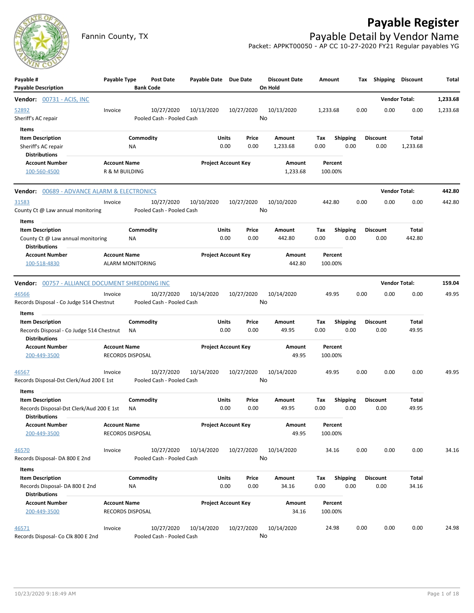## **Payable Register**



Fannin County, TX **Payable Detail by Vendor Name** Packet: APPKT00050 - AP CC 10-27-2020 FY21 Regular payables YG

| Payable #<br><b>Payable Description</b>                                                              | Payable Type                                   | Post Date<br><b>Bank Code</b>           | Payable Date Due Date |                                | <b>Discount Date</b><br>On Hold | Amount             |                         | Shipping<br>Tax         | <b>Discount</b>          | Total    |
|------------------------------------------------------------------------------------------------------|------------------------------------------------|-----------------------------------------|-----------------------|--------------------------------|---------------------------------|--------------------|-------------------------|-------------------------|--------------------------|----------|
| <b>Vendor:</b> 00731 - ACIS, INC                                                                     |                                                |                                         |                       |                                |                                 |                    |                         |                         | <b>Vendor Total:</b>     | 1,233.68 |
| 52892<br>Sheriff's AC repair                                                                         | Invoice                                        | 10/27/2020<br>Pooled Cash - Pooled Cash | 10/13/2020            | 10/27/2020                     | 10/13/2020<br>No                | 1,233.68           | 0.00                    | 0.00                    | 0.00                     | 1,233.68 |
| Items<br><b>Item Description</b><br>Sheriff's AC repair<br><b>Distributions</b>                      |                                                | Commodity<br>ΝA                         |                       | Units<br>Price<br>0.00<br>0.00 | Amount<br>1,233.68              | Тах<br>0.00        | <b>Shipping</b><br>0.00 | <b>Discount</b><br>0.00 | <b>Total</b><br>1,233.68 |          |
| <b>Account Number</b><br>100-560-4500                                                                | <b>Account Name</b><br>R & M BUILDING          |                                         |                       | <b>Project Account Key</b>     | Amount<br>1,233.68              | Percent<br>100.00% |                         |                         |                          |          |
| Vendor: 00689 - ADVANCE ALARM & ELECTRONICS                                                          |                                                |                                         |                       |                                |                                 |                    |                         |                         | <b>Vendor Total:</b>     | 442.80   |
| 31583<br>County Ct @ Law annual monitoring                                                           | Invoice                                        | 10/27/2020<br>Pooled Cash - Pooled Cash | 10/10/2020            | 10/27/2020                     | 10/10/2020<br>No                | 442.80             | 0.00                    | 0.00                    | 0.00                     | 442.80   |
| <b>Items</b><br><b>Item Description</b><br>County Ct @ Law annual monitoring<br><b>Distributions</b> |                                                | Commodity<br>NA                         |                       | Units<br>Price<br>0.00<br>0.00 | Amount<br>442.80                | Tax<br>0.00        | <b>Shipping</b><br>0.00 | <b>Discount</b><br>0.00 | Total<br>442.80          |          |
| <b>Account Number</b><br>100-518-4830                                                                | <b>Account Name</b><br><b>ALARM MONITORING</b> |                                         |                       | <b>Project Account Key</b>     | Amount<br>442.80                | Percent<br>100.00% |                         |                         |                          |          |
| Vendor: 00757 - ALLIANCE DOCUMENT SHREDDING INC                                                      |                                                |                                         |                       |                                |                                 |                    |                         |                         | <b>Vendor Total:</b>     | 159.04   |
| 46566<br>Records Disposal - Co Judge 514 Chestnut                                                    | Invoice                                        | 10/27/2020<br>Pooled Cash - Pooled Cash | 10/14/2020            | 10/27/2020                     | 10/14/2020<br>No                | 49.95              | 0.00                    | 0.00                    | 0.00                     | 49.95    |
| Items                                                                                                |                                                |                                         |                       |                                |                                 |                    |                         |                         |                          |          |
| <b>Item Description</b><br>Records Disposal - Co Judge 514 Chestnut<br><b>Distributions</b>          |                                                | Commodity<br>ΝA                         |                       | Units<br>Price<br>0.00<br>0.00 | Amount<br>49.95                 | Tax<br>0.00        | <b>Shipping</b><br>0.00 | <b>Discount</b><br>0.00 | Total<br>49.95           |          |
| <b>Account Number</b><br>200-449-3500                                                                | <b>Account Name</b><br>RECORDS DISPOSAL        |                                         |                       | <b>Project Account Key</b>     | Amount<br>49.95                 | Percent<br>100.00% |                         |                         |                          |          |
| 46567<br>Records Disposal-Dst Clerk/Aud 200 E 1st                                                    | Invoice                                        | 10/27/2020<br>Pooled Cash - Pooled Cash | 10/14/2020            | 10/27/2020                     | 10/14/2020<br>No                | 49.95              | 0.00                    | 0.00                    | 0.00                     | 49.95    |
| Items                                                                                                |                                                |                                         |                       |                                |                                 |                    |                         |                         |                          |          |
| <b>Item Description</b><br>Records Disposal-Dst Clerk/Aud 200 E 1st<br><b>Distributions</b>          |                                                | Commodity<br><b>NA</b>                  |                       | Units<br>Price<br>0.00<br>0.00 | Amount<br>49.95                 | Tax<br>0.00        | <b>Shipping</b><br>0.00 | <b>Discount</b><br>0.00 | Total<br>49.95           |          |
| <b>Account Number</b><br>200-449-3500                                                                | <b>Account Name</b><br>RECORDS DISPOSAL        |                                         |                       | <b>Project Account Key</b>     | Amount<br>49.95                 | Percent<br>100.00% |                         |                         |                          |          |
| 46570<br>Records Disposal- DA 800 E 2nd                                                              | Invoice                                        | 10/27/2020<br>Pooled Cash - Pooled Cash | 10/14/2020            | 10/27/2020                     | 10/14/2020<br>No                | 34.16              | 0.00                    | 0.00                    | 0.00                     | 34.16    |
| Items                                                                                                |                                                |                                         |                       |                                |                                 |                    |                         |                         |                          |          |
| <b>Item Description</b><br>Records Disposal- DA 800 E 2nd<br><b>Distributions</b>                    |                                                | Commodity<br>NA                         |                       | Units<br>Price<br>0.00<br>0.00 | Amount<br>34.16                 | Tax<br>0.00        | <b>Shipping</b><br>0.00 | <b>Discount</b><br>0.00 | Total<br>34.16           |          |
| <b>Account Number</b><br>200-449-3500                                                                | <b>Account Name</b><br>RECORDS DISPOSAL        |                                         |                       | <b>Project Account Key</b>     | Amount<br>34.16                 | Percent<br>100.00% |                         |                         |                          |          |
| 46571<br>Records Disposal- Co Clk 800 E 2nd                                                          | Invoice                                        | 10/27/2020<br>Pooled Cash - Pooled Cash | 10/14/2020            | 10/27/2020                     | 10/14/2020<br>No                | 24.98              | 0.00                    | 0.00                    | 0.00                     | 24.98    |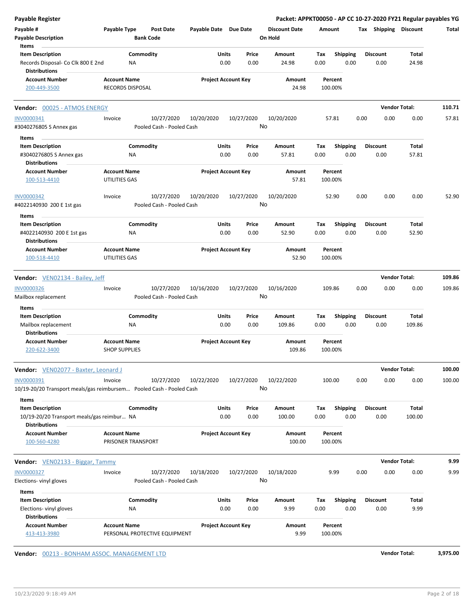| <b>Payable Register</b>                                              |                         |                                         |                            |            |               | Packet: APPKT00050 - AP CC 10-27-2020 FY21 Regular payables YG |             |                         |      |                         |                |          |
|----------------------------------------------------------------------|-------------------------|-----------------------------------------|----------------------------|------------|---------------|----------------------------------------------------------------|-------------|-------------------------|------|-------------------------|----------------|----------|
| Payable #<br><b>Payable Description</b><br>Items                     | Payable Type            | <b>Post Date</b><br><b>Bank Code</b>    | Payable Date Due Date      |            |               | <b>Discount Date</b><br>On Hold                                | Amount      |                         |      | Tax Shipping Discount   |                | Total    |
| <b>Item Description</b>                                              | Commodity               |                                         | Units                      |            | Price         | Amount                                                         | Tax         | <b>Shipping</b>         |      | <b>Discount</b>         | Total          |          |
| Records Disposal- Co Clk 800 E 2nd<br><b>Distributions</b>           | <b>NA</b>               |                                         | 0.00                       |            | 0.00          | 24.98                                                          | 0.00        | 0.00                    |      | 0.00                    | 24.98          |          |
| <b>Account Number</b>                                                | <b>Account Name</b>     |                                         | <b>Project Account Key</b> |            |               | Amount                                                         | Percent     |                         |      |                         |                |          |
| 200-449-3500                                                         | <b>RECORDS DISPOSAL</b> |                                         |                            |            |               | 24.98                                                          | 100.00%     |                         |      |                         |                |          |
| Vendor: 00025 - ATMOS ENERGY                                         |                         |                                         |                            |            |               |                                                                |             |                         |      | <b>Vendor Total:</b>    |                | 110.71   |
| INV0000341                                                           | Invoice                 | 10/27/2020<br>Pooled Cash - Pooled Cash | 10/20/2020                 | 10/27/2020 | No            | 10/20/2020                                                     | 57.81       |                         | 0.00 | 0.00                    | 0.00           | 57.81    |
| #3040276805 S Annex gas                                              |                         |                                         |                            |            |               |                                                                |             |                         |      |                         |                |          |
| Items                                                                | Commodity               |                                         | Units                      |            | Price         | Amount                                                         | Tax         |                         |      | <b>Discount</b>         |                |          |
| <b>Item Description</b><br>#3040276805 S Annex gas                   | ΝA                      |                                         | 0.00                       |            | 0.00          | 57.81                                                          | 0.00        | <b>Shipping</b><br>0.00 |      | 0.00                    | Total<br>57.81 |          |
| <b>Distributions</b>                                                 |                         |                                         |                            |            |               |                                                                |             |                         |      |                         |                |          |
| <b>Account Number</b>                                                | <b>Account Name</b>     |                                         | <b>Project Account Key</b> |            |               | Amount                                                         | Percent     |                         |      |                         |                |          |
| 100-513-4410                                                         | <b>UTILITIES GAS</b>    |                                         |                            |            |               | 57.81                                                          | 100.00%     |                         |      |                         |                |          |
| <b>INV0000342</b>                                                    | Invoice                 | 10/27/2020                              | 10/20/2020                 | 10/27/2020 |               | 10/20/2020                                                     |             | 52.90                   | 0.00 | 0.00                    | 0.00           | 52.90    |
| #4022140930 200 E 1st gas                                            |                         | Pooled Cash - Pooled Cash               |                            |            | No            |                                                                |             |                         |      |                         |                |          |
| Items                                                                |                         |                                         |                            |            |               |                                                                |             |                         |      |                         |                |          |
| <b>Item Description</b>                                              | Commodity               |                                         | Units                      |            | Price         | Amount                                                         | Tax         | <b>Shipping</b>         |      | <b>Discount</b>         | Total          |          |
| #4022140930 200 E 1st gas                                            | NA                      |                                         | 0.00                       |            | 0.00          | 52.90                                                          | 0.00        | 0.00                    |      | 0.00                    | 52.90          |          |
| <b>Distributions</b>                                                 |                         |                                         |                            |            |               |                                                                |             |                         |      |                         |                |          |
| <b>Account Number</b>                                                | <b>Account Name</b>     |                                         | <b>Project Account Key</b> |            |               | Amount                                                         | Percent     |                         |      |                         |                |          |
| 100-518-4410                                                         | UTILITIES GAS           |                                         |                            |            |               | 52.90                                                          | 100.00%     |                         |      |                         |                |          |
| <b>Vendor:</b> VEN02134 - Bailey, Jeff                               |                         |                                         |                            |            |               |                                                                |             |                         |      | <b>Vendor Total:</b>    |                | 109.86   |
| <b>INV0000326</b>                                                    | Invoice                 | 10/27/2020                              | 10/16/2020                 | 10/27/2020 |               | 10/16/2020                                                     | 109.86      |                         | 0.00 | 0.00                    | 0.00           | 109.86   |
| Mailbox replacement                                                  |                         | Pooled Cash - Pooled Cash               |                            |            | No            |                                                                |             |                         |      |                         |                |          |
| Items                                                                |                         |                                         |                            |            |               |                                                                |             |                         |      |                         |                |          |
| <b>Item Description</b>                                              | Commodity               |                                         | Units                      |            | Price         | Amount                                                         | Tax         | <b>Shipping</b>         |      | <b>Discount</b>         | Total          |          |
| Mailbox replacement                                                  | <b>NA</b>               |                                         | 0.00                       |            | 0.00          | 109.86                                                         | 0.00        | 0.00                    |      | 0.00                    | 109.86         |          |
| <b>Distributions</b>                                                 |                         |                                         |                            |            |               |                                                                |             |                         |      |                         |                |          |
| <b>Account Number</b>                                                | <b>Account Name</b>     |                                         | <b>Project Account Key</b> |            |               | Amount                                                         |             | Percent                 |      |                         |                |          |
| 220-622-3400                                                         | <b>SHOP SUPPLIES</b>    |                                         |                            |            |               | 109.86                                                         | 100.00%     |                         |      |                         |                |          |
| <b>Vendor:</b> VEN02077 - Baxter, Leonard J                          |                         |                                         |                            |            |               |                                                                |             |                         |      | <b>Vendor Total:</b>    |                | 100.00   |
| INV0000391                                                           | Invoice                 | 10/27/2020                              | 10/22/2020                 | 10/27/2020 |               | 10/22/2020                                                     | 100.00      |                         | 0.00 | 0.00                    | 0.00           | 100.00   |
| 10/19-20/20 Transport meals/gas reimbursem Pooled Cash - Pooled Cash |                         |                                         |                            |            | No            |                                                                |             |                         |      |                         |                |          |
| Items                                                                |                         |                                         |                            |            |               |                                                                |             |                         |      |                         |                |          |
| <b>Item Description</b>                                              | Commodity               |                                         | Units                      |            | Price         | Amount                                                         | Тах         | <b>Shipping</b>         |      | <b>Discount</b>         | <b>Total</b>   |          |
| 10/19-20/20 Transport meals/gas reimbur NA<br><b>Distributions</b>   |                         |                                         | 0.00                       |            | 0.00          | 100.00                                                         | 0.00        | 0.00                    |      | 0.00                    | 100.00         |          |
| <b>Account Number</b>                                                | <b>Account Name</b>     |                                         | <b>Project Account Key</b> |            |               | Amount                                                         | Percent     |                         |      |                         |                |          |
| 100-560-4280                                                         | PRISONER TRANSPORT      |                                         |                            |            |               | 100.00                                                         | 100.00%     |                         |      |                         |                |          |
| Vendor: VEN02133 - Biggar, Tammy                                     |                         |                                         |                            |            |               |                                                                |             |                         |      | <b>Vendor Total:</b>    |                | 9.99     |
| <b>INV0000327</b>                                                    | Invoice                 | 10/27/2020                              | 10/18/2020                 | 10/27/2020 |               | 10/18/2020                                                     |             | 9.99                    | 0.00 | 0.00                    | 0.00           | 9.99     |
| Elections-vinyl gloves                                               |                         | Pooled Cash - Pooled Cash               |                            |            | No            |                                                                |             |                         |      |                         |                |          |
|                                                                      |                         |                                         |                            |            |               |                                                                |             |                         |      |                         |                |          |
| Items                                                                |                         |                                         |                            |            |               |                                                                |             |                         |      |                         |                |          |
| <b>Item Description</b>                                              | Commodity<br>ΝA         |                                         | Units<br>0.00              |            | Price<br>0.00 | Amount<br>9.99                                                 | Тах<br>0.00 | <b>Shipping</b><br>0.00 |      | <b>Discount</b><br>0.00 | Total<br>9.99  |          |
| Elections-vinyl gloves<br><b>Distributions</b>                       |                         |                                         |                            |            |               |                                                                |             |                         |      |                         |                |          |
| <b>Account Number</b>                                                | <b>Account Name</b>     |                                         | <b>Project Account Key</b> |            |               | Amount                                                         | Percent     |                         |      |                         |                |          |
| 413-413-3980                                                         |                         | PERSONAL PROTECTIVE EQUIPMENT           |                            |            |               | 9.99                                                           | 100.00%     |                         |      |                         |                |          |
|                                                                      |                         |                                         |                            |            |               |                                                                |             |                         |      |                         |                |          |
| Vendor: 00213 - BONHAM ASSOC. MANAGEMENT LTD                         |                         |                                         |                            |            |               |                                                                |             |                         |      | <b>Vendor Total:</b>    |                | 3,975.00 |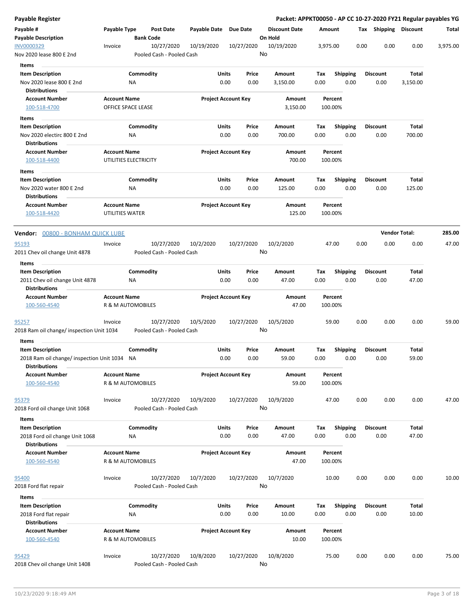| Payable #<br>Payable Type<br>Payable Date Due Date<br><b>Discount Date</b><br>Tax Shipping Discount<br><b>Post Date</b><br>Amount<br><b>Payable Description</b><br><b>Bank Code</b><br>On Hold<br>INV0000329<br>10/27/2020<br>10/27/2020<br>0.00<br>0.00<br>0.00<br>10/19/2020<br>10/19/2020<br>3,975.00<br>Invoice<br>No<br>Pooled Cash - Pooled Cash<br>Nov 2020 lease 800 E 2nd<br>Items<br><b>Item Description</b><br>Commodity<br>Units<br>Price<br>Shipping<br>Total<br>Amount<br>Tax<br><b>Discount</b><br>0.00<br>0.00<br>Nov 2020 lease 800 E 2nd<br>0.00<br>0.00<br>0.00<br>3,150.00<br>ΝA<br>3,150.00<br><b>Distributions</b><br><b>Account Name</b><br><b>Project Account Key</b><br><b>Account Number</b><br>Amount<br>Percent | Total<br>3,975.00 |
|---------------------------------------------------------------------------------------------------------------------------------------------------------------------------------------------------------------------------------------------------------------------------------------------------------------------------------------------------------------------------------------------------------------------------------------------------------------------------------------------------------------------------------------------------------------------------------------------------------------------------------------------------------------------------------------------------------------------------------------------|-------------------|
|                                                                                                                                                                                                                                                                                                                                                                                                                                                                                                                                                                                                                                                                                                                                             |                   |
|                                                                                                                                                                                                                                                                                                                                                                                                                                                                                                                                                                                                                                                                                                                                             |                   |
|                                                                                                                                                                                                                                                                                                                                                                                                                                                                                                                                                                                                                                                                                                                                             |                   |
|                                                                                                                                                                                                                                                                                                                                                                                                                                                                                                                                                                                                                                                                                                                                             |                   |
|                                                                                                                                                                                                                                                                                                                                                                                                                                                                                                                                                                                                                                                                                                                                             |                   |
|                                                                                                                                                                                                                                                                                                                                                                                                                                                                                                                                                                                                                                                                                                                                             |                   |
| 100-518-4700<br>OFFICE SPACE LEASE<br>3,150.00<br>100.00%                                                                                                                                                                                                                                                                                                                                                                                                                                                                                                                                                                                                                                                                                   |                   |
| Items                                                                                                                                                                                                                                                                                                                                                                                                                                                                                                                                                                                                                                                                                                                                       |                   |
| Commodity<br><b>Item Description</b><br>Units<br>Price<br>Amount<br>Tax<br><b>Shipping</b><br><b>Discount</b><br>Total<br>0.00<br>Nov 2020 electirc 800 E 2nd<br>NA<br>0.00<br>0.00<br>700.00<br>0.00<br>0.00<br>700.00                                                                                                                                                                                                                                                                                                                                                                                                                                                                                                                     |                   |
| <b>Distributions</b>                                                                                                                                                                                                                                                                                                                                                                                                                                                                                                                                                                                                                                                                                                                        |                   |
| <b>Account Name</b><br><b>Project Account Key</b><br><b>Account Number</b><br>Amount<br>Percent<br>UTILITIES ELECTRICITY<br>700.00<br>100.00%<br>100-518-4400                                                                                                                                                                                                                                                                                                                                                                                                                                                                                                                                                                               |                   |
| Items                                                                                                                                                                                                                                                                                                                                                                                                                                                                                                                                                                                                                                                                                                                                       |                   |
| Commodity<br><b>Item Description</b><br>Units<br>Price<br>Amount<br><b>Shipping</b><br><b>Discount</b><br>Total<br>Тах<br>0.00<br>0.00<br>125.00<br>Nov 2020 water 800 E 2nd<br>0.00<br>125.00<br>0.00<br>0.00<br>ΝA                                                                                                                                                                                                                                                                                                                                                                                                                                                                                                                        |                   |
| <b>Distributions</b><br><b>Account Name</b><br><b>Project Account Key</b><br><b>Account Number</b><br>Amount<br>Percent<br>100-518-4420<br>UTILITIES WATER<br>125.00<br>100.00%                                                                                                                                                                                                                                                                                                                                                                                                                                                                                                                                                             |                   |
|                                                                                                                                                                                                                                                                                                                                                                                                                                                                                                                                                                                                                                                                                                                                             |                   |
| <b>Vendor Total:</b><br>Vendor: 00800 - BONHAM QUICK LUBE                                                                                                                                                                                                                                                                                                                                                                                                                                                                                                                                                                                                                                                                                   | 285.00            |
| 10/27/2020<br>10/2/2020<br>10/27/2020<br>10/2/2020<br>47.00<br>0.00<br>0.00<br>0.00<br>95193<br>Invoice                                                                                                                                                                                                                                                                                                                                                                                                                                                                                                                                                                                                                                     | 47.00             |
| No<br>2011 Chev oil change Unit 4878<br>Pooled Cash - Pooled Cash                                                                                                                                                                                                                                                                                                                                                                                                                                                                                                                                                                                                                                                                           |                   |
| Items                                                                                                                                                                                                                                                                                                                                                                                                                                                                                                                                                                                                                                                                                                                                       |                   |
| Commodity<br>Units<br><b>Item Description</b><br>Price<br>Amount<br>Tax<br><b>Shipping</b><br><b>Discount</b><br>Total<br>0.00<br>2011 Chev oil change Unit 4878<br>0.00<br>0.00<br>47.00<br>0.00<br>0.00<br>47.00<br>ΝA<br><b>Distributions</b>                                                                                                                                                                                                                                                                                                                                                                                                                                                                                            |                   |
| <b>Account Name</b><br><b>Project Account Key</b><br><b>Account Number</b><br>Amount<br>Percent                                                                                                                                                                                                                                                                                                                                                                                                                                                                                                                                                                                                                                             |                   |
| 47.00<br><b>R &amp; M AUTOMOBILES</b><br>100.00%<br>100-560-4540                                                                                                                                                                                                                                                                                                                                                                                                                                                                                                                                                                                                                                                                            |                   |
| 95257<br>10/27/2020<br>10/5/2020<br>10/27/2020<br>10/5/2020<br>59.00<br>0.00<br>0.00<br>0.00<br>Invoice<br>No<br>2018 Ram oil change/ inspection Unit 1034<br>Pooled Cash - Pooled Cash                                                                                                                                                                                                                                                                                                                                                                                                                                                                                                                                                     | 59.00             |
|                                                                                                                                                                                                                                                                                                                                                                                                                                                                                                                                                                                                                                                                                                                                             |                   |
| Items<br>Commodity<br>Units<br>Amount<br>Total                                                                                                                                                                                                                                                                                                                                                                                                                                                                                                                                                                                                                                                                                              |                   |
| <b>Item Description</b><br>Price<br>Tax<br><b>Shipping</b><br><b>Discount</b><br>2018 Ram oil change/ inspection Unit 1034<br>59.00<br>0.00<br>0.00<br>0.00<br>0.00<br>0.00<br>59.00<br>NA<br><b>Distributions</b>                                                                                                                                                                                                                                                                                                                                                                                                                                                                                                                          |                   |
| <b>Account Number</b><br><b>Account Name</b><br><b>Project Account Key</b><br>Amount<br>Percent<br>R & M AUTOMOBILES<br>59.00<br>100.00%<br>100-560-4540                                                                                                                                                                                                                                                                                                                                                                                                                                                                                                                                                                                    |                   |
|                                                                                                                                                                                                                                                                                                                                                                                                                                                                                                                                                                                                                                                                                                                                             |                   |
| 10/27/2020<br>10/9/2020<br>Invoice<br>10/27/2020<br>10/9/2020<br>47.00<br>0.00<br>0.00<br>0.00<br>95379<br>No<br>2018 Ford oil change Unit 1068<br>Pooled Cash - Pooled Cash                                                                                                                                                                                                                                                                                                                                                                                                                                                                                                                                                                | 47.00             |
| Items<br>Commodity<br><b>Item Description</b><br>Units<br>Price<br><b>Shipping</b><br><b>Discount</b><br>Total<br>Amount<br>Tax                                                                                                                                                                                                                                                                                                                                                                                                                                                                                                                                                                                                             |                   |
| 0.00<br>47.00<br>0.00<br>47.00<br>0.00<br>0.00<br>0.00<br>2018 Ford oil change Unit 1068<br>ΝA<br><b>Distributions</b>                                                                                                                                                                                                                                                                                                                                                                                                                                                                                                                                                                                                                      |                   |
| <b>Account Number</b><br><b>Account Name</b><br><b>Project Account Key</b><br>Amount<br>Percent                                                                                                                                                                                                                                                                                                                                                                                                                                                                                                                                                                                                                                             |                   |
| 47.00<br>100-560-4540<br>R & M AUTOMOBILES<br>100.00%                                                                                                                                                                                                                                                                                                                                                                                                                                                                                                                                                                                                                                                                                       |                   |
| 10/27/2020<br>10/7/2020<br>10.00<br>0.00<br>0.00<br>0.00<br>95400<br>10/27/2020<br>10/7/2020<br>Invoice<br>No<br>2018 Ford flat repair<br>Pooled Cash - Pooled Cash                                                                                                                                                                                                                                                                                                                                                                                                                                                                                                                                                                         | 10.00             |
| Items                                                                                                                                                                                                                                                                                                                                                                                                                                                                                                                                                                                                                                                                                                                                       |                   |
| <b>Item Description</b><br>Commodity<br>Units<br>Price<br>Tax<br>Shipping<br>Total<br>Amount<br><b>Discount</b><br>0.00<br>0.00<br>0.00<br>0.00<br>0.00<br>2018 Ford flat repair<br>10.00<br>10.00<br>ΝA                                                                                                                                                                                                                                                                                                                                                                                                                                                                                                                                    |                   |
| <b>Distributions</b><br><b>Account Number</b><br><b>Account Name</b><br><b>Project Account Key</b><br>Amount<br>Percent                                                                                                                                                                                                                                                                                                                                                                                                                                                                                                                                                                                                                     |                   |
| 100-560-4540<br>R & M AUTOMOBILES<br>10.00<br>100.00%                                                                                                                                                                                                                                                                                                                                                                                                                                                                                                                                                                                                                                                                                       |                   |
| 10/27/2020<br>10/27/2020<br>10/8/2020<br>0.00<br>0.00<br>10/8/2020<br>75.00<br>0.00<br>95429<br>Invoice<br>No<br>2018 Chev oil change Unit 1408<br>Pooled Cash - Pooled Cash                                                                                                                                                                                                                                                                                                                                                                                                                                                                                                                                                                | 75.00             |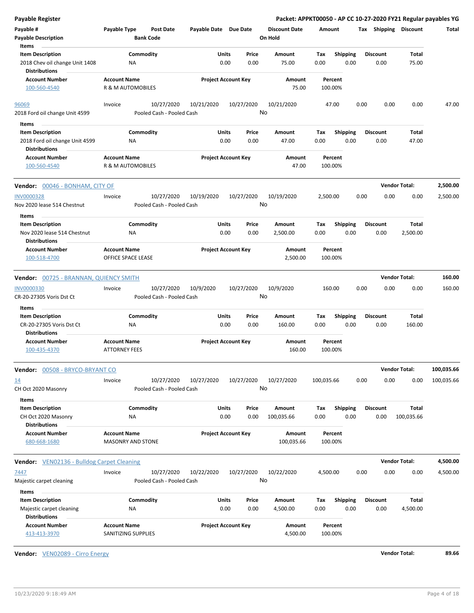| Payable Register                                          | Packet: APPKT00050 - AP CC 10-27-2020 FY21 Regular payables YG |                                         |                       |                            |                                 |                    |                         |                         |      |                       |            |
|-----------------------------------------------------------|----------------------------------------------------------------|-----------------------------------------|-----------------------|----------------------------|---------------------------------|--------------------|-------------------------|-------------------------|------|-----------------------|------------|
| Payable #<br><b>Payable Description</b>                   | Payable Type                                                   | Post Date<br><b>Bank Code</b>           | Payable Date Due Date |                            | <b>Discount Date</b><br>On Hold | Amount             |                         |                         |      | Tax Shipping Discount | Total      |
| Items                                                     |                                                                |                                         |                       |                            |                                 |                    |                         |                         |      |                       |            |
| <b>Item Description</b><br>2018 Chev oil change Unit 1408 | Commodity<br>ΝA                                                |                                         | Units<br>0.00         | Price<br>0.00              | Amount<br>75.00                 | Tax<br>0.00        | <b>Shipping</b><br>0.00 | <b>Discount</b><br>0.00 |      | <b>Total</b><br>75.00 |            |
| <b>Distributions</b>                                      |                                                                |                                         |                       |                            |                                 |                    |                         |                         |      |                       |            |
| <b>Account Number</b>                                     | <b>Account Name</b>                                            |                                         |                       | <b>Project Account Key</b> | Amount                          | Percent            |                         |                         |      |                       |            |
| 100-560-4540                                              | R & M AUTOMOBILES                                              |                                         |                       |                            | 75.00                           | 100.00%            |                         |                         |      |                       |            |
| 96069                                                     | Invoice                                                        | 10/27/2020                              | 10/21/2020            | 10/27/2020                 | 10/21/2020                      | 47.00              |                         | 0.00                    | 0.00 | 0.00                  | 47.00      |
| 2018 Ford oil change Unit 4599                            |                                                                | Pooled Cash - Pooled Cash               |                       |                            | No                              |                    |                         |                         |      |                       |            |
| Items                                                     |                                                                |                                         |                       |                            |                                 |                    |                         |                         |      |                       |            |
| <b>Item Description</b>                                   | Commodity                                                      |                                         | Units                 | Price                      | Amount                          | Tax                | Shipping                | <b>Discount</b>         |      | <b>Total</b>          |            |
| 2018 Ford oil change Unit 4599<br><b>Distributions</b>    | ΝA                                                             |                                         | 0.00                  | 0.00                       | 47.00                           | 0.00               | 0.00                    | 0.00                    |      | 47.00                 |            |
| <b>Account Number</b><br>100-560-4540                     | <b>Account Name</b><br>R & M AUTOMOBILES                       |                                         |                       | <b>Project Account Key</b> | Amount<br>47.00                 | Percent<br>100.00% |                         |                         |      |                       |            |
|                                                           |                                                                |                                         |                       |                            |                                 |                    |                         |                         |      |                       |            |
| Vendor: 00046 - BONHAM, CITY OF                           |                                                                |                                         |                       |                            |                                 |                    |                         |                         |      | <b>Vendor Total:</b>  | 2,500.00   |
| <b>INV0000328</b><br>Nov 2020 lease 514 Chestnut          | Invoice                                                        | 10/27/2020<br>Pooled Cash - Pooled Cash | 10/19/2020            | 10/27/2020                 | 10/19/2020<br>No                | 2,500.00           |                         | 0.00                    | 0.00 | 0.00                  | 2,500.00   |
| Items                                                     |                                                                |                                         |                       |                            |                                 |                    |                         |                         |      |                       |            |
| <b>Item Description</b>                                   | Commodity                                                      |                                         | Units                 | Price                      | Amount                          | Tax                | <b>Shipping</b>         | <b>Discount</b>         |      | Total                 |            |
| Nov 2020 lease 514 Chestnut<br><b>Distributions</b>       | ΝA                                                             |                                         | 0.00                  | 0.00                       | 2,500.00                        | 0.00               | 0.00                    | 0.00                    |      | 2,500.00              |            |
| <b>Account Number</b>                                     | <b>Account Name</b>                                            |                                         |                       | <b>Project Account Key</b> | Amount                          | Percent            |                         |                         |      |                       |            |
| 100-518-4700                                              | OFFICE SPACE LEASE                                             |                                         |                       |                            | 2,500.00                        | 100.00%            |                         |                         |      |                       |            |
| Vendor: 00725 - BRANNAN, QUIENCY SMITH                    |                                                                |                                         |                       |                            |                                 |                    |                         |                         |      | <b>Vendor Total:</b>  | 160.00     |
| INV0000330                                                | Invoice                                                        | 10/27/2020                              | 10/9/2020             | 10/27/2020                 | 10/9/2020                       | 160.00             |                         | 0.00                    | 0.00 | 0.00                  | 160.00     |
| CR-20-27305 Voris Dst Ct                                  |                                                                | Pooled Cash - Pooled Cash               |                       |                            | No                              |                    |                         |                         |      |                       |            |
| Items                                                     |                                                                |                                         |                       |                            |                                 |                    |                         |                         |      |                       |            |
| <b>Item Description</b><br>CR-20-27305 Voris Dst Ct       | Commodity<br>ΝA                                                |                                         | Units<br>0.00         | Price<br>0.00              | Amount<br>160.00                | Tax<br>0.00        | <b>Shipping</b><br>0.00 | <b>Discount</b><br>0.00 |      | Total<br>160.00       |            |
| <b>Distributions</b>                                      |                                                                |                                         |                       |                            |                                 |                    |                         |                         |      |                       |            |
| <b>Account Number</b>                                     | <b>Account Name</b>                                            |                                         |                       | <b>Project Account Key</b> | Amount                          | Percent            |                         |                         |      |                       |            |
| 100-435-4370                                              | <b>ATTORNEY FEES</b>                                           |                                         |                       |                            | 160.00                          | 100.00%            |                         |                         |      |                       |            |
| <b>Vendor:</b> 00508 - BRYCO-BRYANT CO                    |                                                                |                                         |                       |                            |                                 |                    |                         |                         |      | <b>Vendor Total:</b>  | 100,035.66 |
| <u>14</u>                                                 | Invoice                                                        | 10/27/2020                              | 10/27/2020            | 10/27/2020                 | 10/27/2020                      | 100,035.66         |                         | 0.00                    | 0.00 | 0.00                  | 100,035.66 |
| CH Oct 2020 Masonry                                       |                                                                | Pooled Cash - Pooled Cash               |                       |                            | No                              |                    |                         |                         |      |                       |            |
| <b>Items</b>                                              |                                                                |                                         |                       |                            |                                 |                    |                         |                         |      |                       |            |
| <b>Item Description</b>                                   | Commodity                                                      |                                         | Units                 | Price                      | Amount                          | Tax                | <b>Shipping</b>         | <b>Discount</b>         |      | Total                 |            |
| CH Oct 2020 Masonry<br><b>Distributions</b>               | <b>NA</b>                                                      |                                         | 0.00                  | 0.00                       | 100,035.66                      | 0.00               | 0.00                    | 0.00                    |      | 100,035.66            |            |
| <b>Account Number</b>                                     | <b>Account Name</b>                                            |                                         |                       | <b>Project Account Key</b> | Amount                          | Percent            |                         |                         |      |                       |            |
| 680-668-1680                                              | <b>MASONRY AND STONE</b>                                       |                                         |                       |                            | 100,035.66                      | 100.00%            |                         |                         |      |                       |            |
| Vendor: VEN02136 - Bulldog Carpet Cleaning                |                                                                |                                         |                       |                            |                                 |                    |                         |                         |      | <b>Vendor Total:</b>  | 4,500.00   |
| 7447                                                      | Invoice                                                        | 10/27/2020                              | 10/22/2020            | 10/27/2020                 | 10/22/2020                      | 4,500.00           |                         | 0.00                    | 0.00 | 0.00                  | 4,500.00   |
| Majestic carpet cleaning                                  |                                                                | Pooled Cash - Pooled Cash               |                       |                            | No                              |                    |                         |                         |      |                       |            |
| Items                                                     |                                                                |                                         |                       |                            |                                 |                    |                         |                         |      |                       |            |
| <b>Item Description</b>                                   | Commodity                                                      |                                         | Units                 | Price                      | Amount                          | Тах                | <b>Shipping</b>         | <b>Discount</b>         |      | Total                 |            |
| Majestic carpet cleaning                                  | ΝA                                                             |                                         | 0.00                  | 0.00                       | 4,500.00                        | 0.00               | 0.00                    | 0.00                    |      | 4,500.00              |            |
| <b>Distributions</b>                                      |                                                                |                                         |                       |                            |                                 |                    |                         |                         |      |                       |            |
| <b>Account Number</b><br>413-413-3970                     | <b>Account Name</b><br>SANITIZING SUPPLIES                     |                                         |                       | <b>Project Account Key</b> | Amount<br>4,500.00              | Percent<br>100.00% |                         |                         |      |                       |            |

**Vendor:** VEN02089 - Cirro Energy **Vendor Total: 89.66**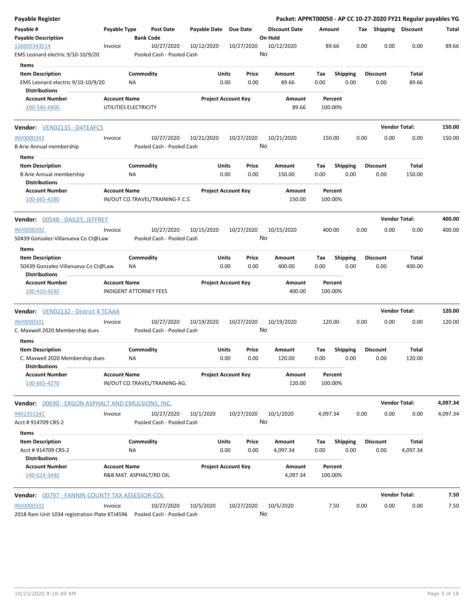| Payable Register                                                                       |                                                      |                 |                                         |                       |                            |                  | Packet: APPKT00050 - AP CC 10-27-2020 FY21 Regular payables YG |                    |                         |      |                         |                      |          |
|----------------------------------------------------------------------------------------|------------------------------------------------------|-----------------|-----------------------------------------|-----------------------|----------------------------|------------------|----------------------------------------------------------------|--------------------|-------------------------|------|-------------------------|----------------------|----------|
| Payable #<br><b>Payable Description</b>                                                | Payable Type                                         |                 | <b>Post Date</b><br><b>Bank Code</b>    | Payable Date Due Date |                            |                  | <b>Discount Date</b><br>On Hold                                | Amount             |                         |      | Tax Shipping Discount   |                      | Total    |
| 126005343514<br>EMS Leonard electric 9/10-10/9/20                                      | Invoice                                              |                 | 10/27/2020<br>Pooled Cash - Pooled Cash | 10/12/2020            |                            | 10/27/2020<br>No | 10/12/2020                                                     | 89.66              |                         | 0.00 | 0.00                    | 0.00                 | 89.66    |
| <b>Items</b>                                                                           |                                                      |                 |                                         |                       |                            |                  |                                                                |                    |                         |      |                         |                      |          |
| <b>Item Description</b>                                                                |                                                      | Commodity       |                                         |                       | Units                      | Price            | Amount                                                         | Tax                | <b>Shipping</b>         |      | <b>Discount</b>         | Total                |          |
| EMS Leonard electric 9/10-10/9/20<br><b>Distributions</b>                              |                                                      | ΝA              |                                         |                       | 0.00                       | 0.00             | 89.66                                                          | 0.00               | 0.00                    |      | 0.00                    | 89.66                |          |
| <b>Account Number</b><br>100-540-4400                                                  | <b>Account Name</b><br>UTILITIES ELECTRICITY         |                 |                                         |                       | <b>Project Account Key</b> |                  | Amount<br>89.66                                                | Percent<br>100.00% |                         |      |                         |                      |          |
| <b>Vendor:</b> VEN02135 - D4TEAFCS                                                     |                                                      |                 |                                         |                       |                            |                  |                                                                |                    |                         |      |                         | <b>Vendor Total:</b> | 150.00   |
| INV0000343                                                                             | Invoice                                              |                 | 10/27/2020                              | 10/21/2020            |                            | 10/27/2020       | 10/21/2020                                                     | 150.00             |                         | 0.00 | 0.00                    | 0.00                 | 150.00   |
| <b>B Arie Annual membership</b><br>Items                                               |                                                      |                 | Pooled Cash - Pooled Cash               |                       |                            | No               |                                                                |                    |                         |      |                         |                      |          |
| <b>Item Description</b>                                                                |                                                      | Commodity       |                                         |                       | Units                      | Price            | Amount                                                         | Tax                | <b>Shipping</b>         |      | <b>Discount</b>         | Total                |          |
| <b>B Arie Annual membership</b><br><b>Distributions</b>                                |                                                      | NA              |                                         |                       | 0.00                       | 0.00             | 150.00                                                         | 0.00               | 0.00                    |      | 0.00                    | 150.00               |          |
| <b>Account Number</b><br>100-665-4280                                                  | <b>Account Name</b>                                  |                 | IN/OUT CO.TRAVEL/TRAINING-F.C.S.        |                       | <b>Project Account Key</b> |                  | Amount<br>150.00                                               | Percent<br>100.00% |                         |      |                         |                      |          |
| <b>Vendor:</b> 00548 - DAILEY, JEFFREY                                                 |                                                      |                 |                                         |                       |                            |                  |                                                                |                    |                         |      |                         | <b>Vendor Total:</b> | 400.00   |
| <b>INV0000392</b><br>50439 Gonzalez-Villanueva Co Ct@Law                               | Invoice                                              |                 | 10/27/2020<br>Pooled Cash - Pooled Cash | 10/15/2020            |                            | 10/27/2020<br>No | 10/15/2020                                                     | 400.00             |                         | 0.00 | 0.00                    | 0.00                 | 400.00   |
| Items                                                                                  |                                                      |                 |                                         |                       |                            |                  |                                                                |                    |                         |      |                         |                      |          |
| <b>Item Description</b><br>50439 Gonzalez-Villanueva Co Ct@Law<br><b>Distributions</b> |                                                      | Commodity<br>ΝA |                                         |                       | Units<br>0.00              | Price<br>0.00    | Amount<br>400.00                                               | Tax<br>0.00        | <b>Shipping</b><br>0.00 |      | <b>Discount</b><br>0.00 | Total<br>400.00      |          |
| <b>Account Number</b><br>100-410-4240                                                  | <b>Account Name</b><br><b>INDIGENT ATTORNEY FEES</b> |                 |                                         |                       | <b>Project Account Key</b> |                  | Amount<br>400.00                                               | Percent<br>100.00% |                         |      |                         |                      |          |
| Vendor: VEN02132 - District 4 TCAAA                                                    |                                                      |                 |                                         |                       |                            |                  |                                                                |                    |                         |      |                         | <b>Vendor Total:</b> | 120.00   |
| INV0000331<br>C. Maxwell 2020 Membership dues                                          | Invoice                                              |                 | 10/27/2020<br>Pooled Cash - Pooled Cash | 10/19/2020            |                            | 10/27/2020<br>No | 10/19/2020                                                     | 120.00             |                         | 0.00 | 0.00                    | 0.00                 | 120.00   |
| Items<br><b>Item Description</b>                                                       |                                                      | Commodity       |                                         |                       | Units                      | Price            | Amount                                                         | Tax                | <b>Shipping</b>         |      | <b>Discount</b>         | Total                |          |
| C. Maxwell 2020 Membership dues<br><b>Distributions</b>                                |                                                      | ΝA              |                                         |                       | 0.00                       | 0.00             | 120.00                                                         | 0.00               | 0.00                    |      | 0.00                    | 120.00               |          |
| <b>Account Number</b><br>100-665-4270                                                  | <b>Account Name</b>                                  |                 | IN/OUT CO.TRAVEL/TRAINING-AG.           |                       | <b>Project Account Key</b> |                  | Amount<br>120.00                                               | Percent<br>100.00% |                         |      |                         |                      |          |
| <b>Vendor:</b> 00690 - ERGON ASPHALT AND EMULSIONS, INC.                               |                                                      |                 |                                         |                       |                            |                  |                                                                |                    |                         |      |                         | <b>Vendor Total:</b> | 4,097.34 |
| 9402351241<br>Acct # 914709 CRS-2                                                      | Invoice                                              |                 | 10/27/2020<br>Pooled Cash - Pooled Cash | 10/1/2020             |                            | 10/27/2020<br>No | 10/1/2020                                                      | 4,097.34           |                         | 0.00 | 0.00                    | 0.00                 | 4,097.34 |
| Items                                                                                  |                                                      |                 |                                         |                       |                            |                  |                                                                |                    |                         |      |                         |                      |          |
| <b>Item Description</b><br>Acct # 914709 CRS-2<br><b>Distributions</b>                 |                                                      | Commodity<br>ΝA |                                         |                       | Units<br>0.00              | Price<br>0.00    | Amount<br>4,097.34                                             | Tax<br>0.00        | <b>Shipping</b><br>0.00 |      | Discount<br>0.00        | Total<br>4,097.34    |          |
| <b>Account Number</b><br>240-624-3440                                                  | <b>Account Name</b>                                  |                 | R&B MAT. ASPHALT/RD OIL                 |                       | <b>Project Account Key</b> |                  | Amount<br>4,097.34                                             | Percent<br>100.00% |                         |      |                         |                      |          |
| <b>Vendor:</b> 00797 - FANNIN COUNTY TAX ASSESSOR-COL                                  |                                                      |                 |                                         |                       |                            |                  |                                                                |                    |                         |      |                         | <b>Vendor Total:</b> | 7.50     |
| INV0000332<br>2018 Ram Unit 1034 registration Plate KTJ4596                            | Invoice                                              |                 | 10/27/2020<br>Pooled Cash - Pooled Cash | 10/5/2020             |                            | 10/27/2020<br>No | 10/5/2020                                                      | 7.50               |                         | 0.00 | 0.00                    | 0.00                 | 7.50     |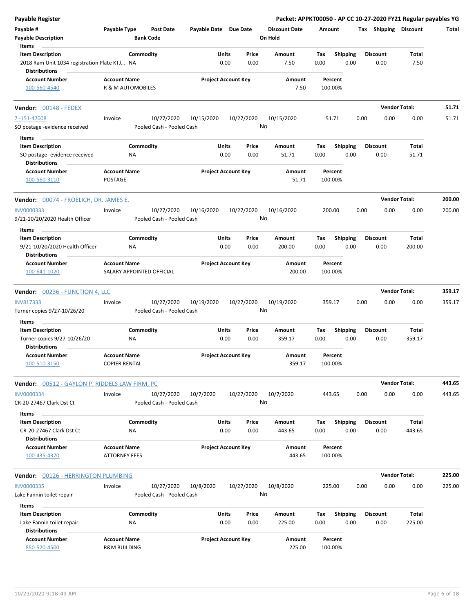| <b>Payable Register</b>                                                                         |                                                |                                      |                       |                            |                                 |             |                         |      |                         | Packet: APPKT00050 - AP CC 10-27-2020 FY21 Regular payables YG |        |
|-------------------------------------------------------------------------------------------------|------------------------------------------------|--------------------------------------|-----------------------|----------------------------|---------------------------------|-------------|-------------------------|------|-------------------------|----------------------------------------------------------------|--------|
| Payable #<br><b>Payable Description</b><br>Items                                                | Payable Type                                   | <b>Post Date</b><br><b>Bank Code</b> | Payable Date Due Date |                            | <b>Discount Date</b><br>On Hold | Amount      |                         |      | Tax Shipping Discount   |                                                                | Total  |
|                                                                                                 |                                                |                                      |                       |                            |                                 |             |                         |      |                         |                                                                |        |
| <b>Item Description</b><br>2018 Ram Unit 1034 registration Plate KTJ NA<br><b>Distributions</b> | Commodity                                      |                                      | Units                 | Price<br>0.00<br>0.00      | Amount<br>7.50                  | Tax<br>0.00 | <b>Shipping</b><br>0.00 |      | <b>Discount</b><br>0.00 | Total<br>7.50                                                  |        |
| <b>Account Number</b>                                                                           | <b>Account Name</b>                            |                                      |                       | <b>Project Account Key</b> | Amount                          |             | Percent                 |      |                         |                                                                |        |
| 100-560-4540                                                                                    | R & M AUTOMOBILES                              |                                      |                       |                            | 7.50                            | 100.00%     |                         |      |                         |                                                                |        |
| Vendor: 00148 - FEDEX                                                                           |                                                |                                      |                       |                            |                                 |             |                         |      |                         | <b>Vendor Total:</b>                                           | 51.71  |
| 7-151-47008                                                                                     | Invoice                                        | 10/27/2020                           | 10/15/2020            | 10/27/2020                 | 10/15/2020                      |             | 51.71                   | 0.00 | 0.00                    | 0.00                                                           | 51.71  |
| SO postage -evidence received                                                                   |                                                | Pooled Cash - Pooled Cash            |                       |                            | No                              |             |                         |      |                         |                                                                |        |
| Items                                                                                           |                                                |                                      |                       |                            |                                 |             |                         |      |                         |                                                                |        |
| <b>Item Description</b>                                                                         | Commodity                                      |                                      | Units                 | Price                      | Amount                          | Tax         | <b>Shipping</b>         |      | <b>Discount</b>         | Total                                                          |        |
| SO postage -evidence received<br><b>Distributions</b>                                           | NA                                             |                                      |                       | 0.00<br>0.00               | 51.71                           | 0.00        | 0.00                    |      | 0.00                    | 51.71                                                          |        |
| <b>Account Number</b>                                                                           | <b>Account Name</b>                            |                                      |                       | <b>Project Account Key</b> | Amount                          |             | Percent                 |      |                         |                                                                |        |
| 100-560-3110                                                                                    | <b>POSTAGE</b>                                 |                                      |                       |                            | 51.71                           | 100.00%     |                         |      |                         |                                                                |        |
| Vendor: 00074 - FROELICH, DR. JAMES E.                                                          |                                                |                                      |                       |                            |                                 |             |                         |      |                         | <b>Vendor Total:</b>                                           | 200.00 |
| INV0000333                                                                                      | Invoice                                        | 10/27/2020                           | 10/16/2020            | 10/27/2020                 | 10/16/2020                      | 200.00      |                         | 0.00 | 0.00                    | 0.00                                                           | 200.00 |
| 9/21-10/20/2020 Health Officer                                                                  |                                                | Pooled Cash - Pooled Cash            |                       |                            | No                              |             |                         |      |                         |                                                                |        |
| Items                                                                                           |                                                |                                      |                       |                            |                                 |             |                         |      |                         |                                                                |        |
| <b>Item Description</b>                                                                         | Commodity                                      |                                      | Units                 | Price                      | Amount                          | Tax         | Shipping                |      | <b>Discount</b>         | Total                                                          |        |
| 9/21-10/20/2020 Health Officer<br><b>Distributions</b>                                          | NA.                                            |                                      |                       | 0.00<br>0.00               | 200.00                          | 0.00        | 0.00                    |      | 0.00                    | 200.00                                                         |        |
| <b>Account Number</b>                                                                           | <b>Account Name</b>                            |                                      |                       | <b>Project Account Key</b> | Amount                          |             | Percent                 |      |                         |                                                                |        |
| 100-641-1020                                                                                    | SALARY APPOINTED OFFICIAL                      |                                      |                       |                            | 200.00                          | 100.00%     |                         |      |                         |                                                                |        |
| <b>Vendor: 00236 - FUNCTION 4, LLC</b>                                                          |                                                |                                      |                       |                            |                                 |             |                         |      |                         | <b>Vendor Total:</b>                                           | 359.17 |
| <b>INV817333</b>                                                                                | Invoice                                        | 10/27/2020                           | 10/19/2020            | 10/27/2020                 | 10/19/2020                      | 359.17      |                         | 0.00 | 0.00                    | 0.00                                                           | 359.17 |
| Turner copies 9/27-10/26/20                                                                     |                                                | Pooled Cash - Pooled Cash            |                       |                            | No                              |             |                         |      |                         |                                                                |        |
| Items                                                                                           |                                                |                                      |                       |                            |                                 |             |                         |      |                         |                                                                |        |
| <b>Item Description</b>                                                                         | Commodity                                      |                                      | Units                 | Price                      | Amount                          | Tax         | <b>Shipping</b>         |      | <b>Discount</b>         | Total                                                          |        |
| Turner copies 9/27-10/26/20<br><b>Distributions</b>                                             | ΝA                                             |                                      |                       | 0.00<br>0.00               | 359.17                          | 0.00        | 0.00                    |      | 0.00                    | 359.17                                                         |        |
| <b>Account Number</b><br>100-510-3150                                                           | <b>Account Name</b><br><b>COPIER RENTAL</b>    |                                      |                       | <b>Project Account Key</b> | Amount<br>359.17                | 100.00%     | Percent                 |      |                         |                                                                |        |
| <b>Vendor:</b> 00512 - GAYLON P. RIDDELS LAW FIRM, PC                                           |                                                |                                      |                       |                            |                                 |             |                         |      |                         | <b>Vendor Total:</b>                                           | 443.65 |
| <b>INV0000334</b>                                                                               | Invoice                                        | 10/27/2020                           | 10/7/2020             | 10/27/2020                 | 10/7/2020                       | 443.65      |                         | 0.00 | 0.00                    | 0.00                                                           | 443.65 |
| CR-20-27467 Clark Dst Ct                                                                        |                                                | Pooled Cash - Pooled Cash            |                       |                            | No                              |             |                         |      |                         |                                                                |        |
| Items<br><b>Item Description</b>                                                                | Commodity                                      |                                      | Units                 | Price                      | Amount                          | Tax         | <b>Shipping</b>         |      | <b>Discount</b>         | Total                                                          |        |
| CR-20-27467 Clark Dst Ct<br><b>Distributions</b>                                                | ΝA                                             |                                      |                       | 0.00<br>0.00               | 443.65                          | 0.00        | 0.00                    |      | 0.00                    | 443.65                                                         |        |
| <b>Account Number</b>                                                                           | <b>Account Name</b>                            |                                      |                       | <b>Project Account Key</b> | Amount                          |             | Percent                 |      |                         |                                                                |        |
| 100-435-4370                                                                                    | <b>ATTORNEY FEES</b>                           |                                      |                       |                            | 443.65                          | 100.00%     |                         |      |                         |                                                                |        |
| Vendor: 00126 - HERRINGTON PLUMBING                                                             |                                                |                                      |                       |                            |                                 |             |                         |      |                         | <b>Vendor Total:</b>                                           | 225.00 |
| <b>INV0000335</b>                                                                               | Invoice                                        | 10/27/2020                           | 10/8/2020             | 10/27/2020                 | 10/8/2020                       | 225.00      |                         | 0.00 | 0.00                    | 0.00                                                           | 225.00 |
| Lake Fannin toilet repair                                                                       |                                                | Pooled Cash - Pooled Cash            |                       |                            | No                              |             |                         |      |                         |                                                                |        |
| Items                                                                                           |                                                |                                      |                       |                            |                                 |             |                         |      |                         |                                                                |        |
| <b>Item Description</b>                                                                         | Commodity                                      |                                      | Units                 | Price                      | Amount                          | Tax         | <b>Shipping</b>         |      | <b>Discount</b>         | Total                                                          |        |
| Lake Fannin toilet repair<br><b>Distributions</b>                                               | NA                                             |                                      |                       | 0.00<br>0.00               | 225.00                          | 0.00        | 0.00                    |      | 0.00                    | 225.00                                                         |        |
| <b>Account Number</b><br>850-520-4500                                                           | <b>Account Name</b><br><b>R&amp;M BUILDING</b> |                                      |                       | <b>Project Account Key</b> | Amount<br>225.00                | 100.00%     | Percent                 |      |                         |                                                                |        |
|                                                                                                 |                                                |                                      |                       |                            |                                 |             |                         |      |                         |                                                                |        |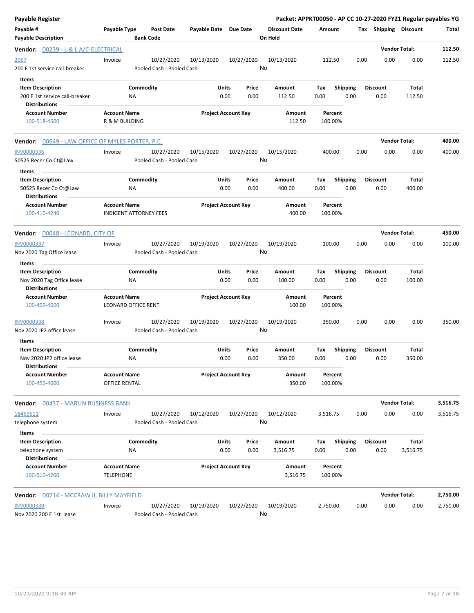| <b>Payable Register</b>                                                                    |                                                   |                                         |                       |                            |                                 |                    |                         |      |                         | Packet: APPKT00050 - AP CC 10-27-2020 FY21 Regular payables YG |          |
|--------------------------------------------------------------------------------------------|---------------------------------------------------|-----------------------------------------|-----------------------|----------------------------|---------------------------------|--------------------|-------------------------|------|-------------------------|----------------------------------------------------------------|----------|
| Payable #<br><b>Payable Description</b>                                                    | Payable Type                                      | <b>Post Date</b><br><b>Bank Code</b>    | Payable Date Due Date |                            | <b>Discount Date</b><br>On Hold | Amount             |                         |      | Tax Shipping Discount   |                                                                | Total    |
| Vendor: 00239 - L & L A/C-ELECTRICAL                                                       |                                                   |                                         |                       |                            |                                 |                    |                         |      |                         | <b>Vendor Total:</b>                                           | 112.50   |
| <u> 2067 </u><br>200 E 1st service call-breaker                                            | Invoice                                           | 10/27/2020<br>Pooled Cash - Pooled Cash | 10/13/2020            | 10/27/2020                 | 10/13/2020<br>No                | 112.50             |                         | 0.00 | 0.00                    | 0.00                                                           | 112.50   |
| Items<br><b>Item Description</b><br>200 E 1st service call-breaker<br><b>Distributions</b> |                                                   | Commodity<br><b>NA</b>                  | Units                 | Price<br>0.00<br>0.00      | Amount<br>112.50                | Tax<br>0.00        | <b>Shipping</b><br>0.00 |      | <b>Discount</b><br>0.00 | Total<br>112.50                                                |          |
| <b>Account Number</b><br>100-518-4500                                                      | <b>Account Name</b><br>R & M BUILDING             |                                         |                       | <b>Project Account Key</b> | Amount<br>112.50                | Percent<br>100.00% |                         |      |                         |                                                                |          |
| <b>Vendor:</b> 00649 - LAW OFFICE OF MYLES PORTER, P.C.                                    |                                                   |                                         |                       |                            |                                 |                    |                         |      |                         | <b>Vendor Total:</b>                                           | 400.00   |
| <b>INV0000336</b><br>50525 Recer Co Ct@Law                                                 | Invoice                                           | 10/27/2020<br>Pooled Cash - Pooled Cash | 10/15/2020            | 10/27/2020                 | 10/15/2020<br>No                | 400.00             |                         | 0.00 | 0.00                    | 0.00                                                           | 400.00   |
| Items<br><b>Item Description</b><br>50525 Recer Co Ct@Law                                  |                                                   | Commodity<br>ΝA                         | Units                 | Price<br>0.00<br>0.00      | Amount<br>400.00                | Tax<br>0.00        | <b>Shipping</b><br>0.00 |      | <b>Discount</b><br>0.00 | Total<br>400.00                                                |          |
| <b>Distributions</b><br><b>Account Number</b><br>100-410-4240                              | <b>Account Name</b>                               | <b>INDIGENT ATTORNEY FEES</b>           |                       | <b>Project Account Key</b> | Amount<br>400.00                | Percent<br>100.00% |                         |      |                         |                                                                |          |
| Vendor: 00048 - LEONARD, CITY OF                                                           |                                                   |                                         |                       |                            |                                 |                    |                         |      |                         | <b>Vendor Total:</b>                                           | 450.00   |
| <b>INV0000337</b><br>Nov 2020 Tag Office lease                                             | Invoice                                           | 10/27/2020<br>Pooled Cash - Pooled Cash | 10/19/2020            | 10/27/2020                 | 10/19/2020<br>No                | 100.00             |                         | 0.00 | 0.00                    | 0.00                                                           | 100.00   |
| Items                                                                                      |                                                   |                                         |                       |                            |                                 |                    |                         |      | <b>Discount</b>         |                                                                |          |
| <b>Item Description</b><br>Nov 2020 Tag Office lease<br><b>Distributions</b>               |                                                   | Commodity<br>NA                         | <b>Units</b>          | Price<br>0.00<br>0.00      | Amount<br>100.00                | Tax<br>0.00        | <b>Shipping</b><br>0.00 |      | 0.00                    | Total<br>100.00                                                |          |
| <b>Account Number</b><br>100-499-4600                                                      | <b>Account Name</b><br><b>LEONARD OFFICE RENT</b> |                                         |                       | <b>Project Account Key</b> | Amount<br>100.00                | Percent<br>100.00% |                         |      |                         |                                                                |          |
| <b>INV0000338</b><br>Nov 2020 JP2 office lease                                             | Invoice                                           | 10/27/2020<br>Pooled Cash - Pooled Cash | 10/19/2020            | 10/27/2020                 | 10/19/2020<br>No                | 350.00             |                         | 0.00 | 0.00                    | 0.00                                                           | 350.00   |
| Items<br><b>Item Description</b>                                                           |                                                   | Commodity                               | Units                 | Price                      | Amount                          | Tax                | <b>Shipping</b>         |      | <b>Discount</b>         | Total                                                          |          |
| Nov 2020 JP2 office lease<br><b>Distributions</b>                                          |                                                   | <b>NA</b>                               |                       | 0.00<br>0.00               | 350.00                          | 0.00               | 0.00                    |      | 0.00                    | 350.00                                                         |          |
| <b>Account Number</b><br>100-456-4600                                                      | <b>Account Name</b><br>OFFICE RENTAL              |                                         |                       | <b>Project Account Key</b> | Amount<br>350.00                | Percent<br>100.00% |                         |      |                         |                                                                |          |
| Vendor:<br>00437 - MARLIN BUSINESS BANK                                                    |                                                   |                                         |                       |                            |                                 |                    |                         |      |                         | <b>Vendor Total:</b>                                           | 3,516.75 |
| 18459611<br>telephone system                                                               | Invoice                                           | 10/27/2020<br>Pooled Cash - Pooled Cash | 10/12/2020            | 10/27/2020                 | 10/12/2020<br>No                | 3,516.75           |                         | 0.00 | 0.00                    | 0.00                                                           | 3,516.75 |
| Items<br><b>Item Description</b><br>telephone system                                       |                                                   | Commodity<br><b>NA</b>                  | <b>Units</b>          | Price<br>0.00<br>0.00      | Amount<br>3,516.75              | Tax<br>0.00        | Shipping<br>0.00        |      | <b>Discount</b><br>0.00 | Total<br>3,516.75                                              |          |
| <b>Distributions</b><br><b>Account Number</b><br>100-510-4200                              | <b>Account Name</b><br><b>TELEPHONE</b>           |                                         |                       | <b>Project Account Key</b> | Amount<br>3,516.75              | Percent<br>100.00% |                         |      |                         |                                                                |          |
| Vendor: 00214 - MCCRAW II, BILLY MAYFIELD                                                  |                                                   |                                         |                       |                            |                                 |                    |                         |      |                         | <b>Vendor Total:</b>                                           | 2,750.00 |
| INV0000339<br>Nov 2020 200 E 1st lease                                                     | Invoice                                           | 10/27/2020<br>Pooled Cash - Pooled Cash | 10/19/2020            | 10/27/2020                 | 10/19/2020<br>No                | 2,750.00           |                         | 0.00 | 0.00                    | 0.00                                                           | 2,750.00 |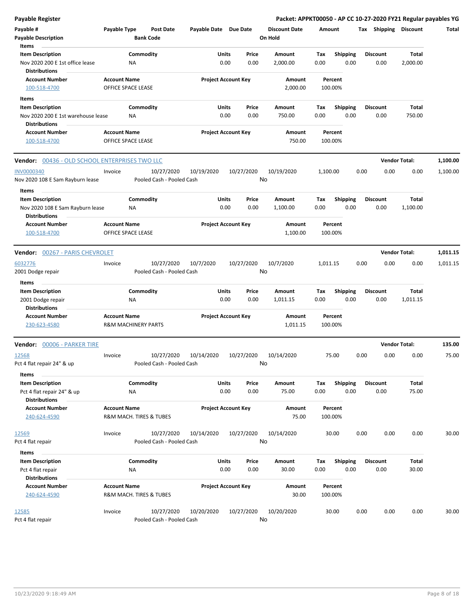| <b>Payable Register</b>                        |                                           |           |                           |                       |       |                            | Packet: APPKT00050 - AP CC 10-27-2020 FY21 Regular payables YG |          |                    |      |                       |                      |          |
|------------------------------------------------|-------------------------------------------|-----------|---------------------------|-----------------------|-------|----------------------------|----------------------------------------------------------------|----------|--------------------|------|-----------------------|----------------------|----------|
| Payable #                                      | Payable Type                              |           | <b>Post Date</b>          | Payable Date Due Date |       |                            | <b>Discount Date</b>                                           |          | Amount             |      | Tax Shipping Discount |                      | Total    |
| <b>Payable Description</b>                     |                                           |           | <b>Bank Code</b>          |                       |       |                            | On Hold                                                        |          |                    |      |                       |                      |          |
| Items                                          |                                           |           |                           |                       |       |                            |                                                                |          |                    |      |                       |                      |          |
| <b>Item Description</b>                        |                                           | Commodity |                           |                       | Units | Price                      | Amount                                                         | Tax      | <b>Shipping</b>    |      | <b>Discount</b>       | Total                |          |
| Nov 2020 200 E 1st office lease                |                                           | ΝA        |                           |                       | 0.00  | 0.00                       | 2,000.00                                                       | 0.00     | 0.00               |      | 0.00                  | 2,000.00             |          |
| <b>Distributions</b>                           |                                           |           |                           |                       |       |                            |                                                                |          |                    |      |                       |                      |          |
| <b>Account Number</b><br>100-518-4700          | <b>Account Name</b><br>OFFICE SPACE LEASE |           |                           |                       |       | <b>Project Account Key</b> | Amount<br>2,000.00                                             |          | Percent<br>100.00% |      |                       |                      |          |
| Items                                          |                                           |           |                           |                       |       |                            |                                                                |          |                    |      |                       |                      |          |
| <b>Item Description</b>                        |                                           | Commodity |                           |                       | Units | Price                      | Amount                                                         | Tax      | <b>Shipping</b>    |      | <b>Discount</b>       | Total                |          |
| Nov 2020 200 E 1st warehouse lease             |                                           | ΝA        |                           |                       | 0.00  | 0.00                       | 750.00                                                         | 0.00     | 0.00               |      | 0.00                  | 750.00               |          |
| <b>Distributions</b>                           |                                           |           |                           |                       |       |                            |                                                                |          |                    |      |                       |                      |          |
| <b>Account Number</b><br>100-518-4700          | <b>Account Name</b><br>OFFICE SPACE LEASE |           |                           |                       |       | <b>Project Account Key</b> | Amount<br>750.00                                               |          | Percent<br>100.00% |      |                       |                      |          |
| Vendor: 00436 - OLD SCHOOL ENTERPRISES TWO LLC |                                           |           |                           |                       |       |                            |                                                                |          |                    |      |                       | <b>Vendor Total:</b> | 1,100.00 |
| <b>INV0000340</b>                              | Invoice                                   |           | 10/27/2020                | 10/19/2020            |       | 10/27/2020                 | 10/19/2020                                                     | 1,100.00 |                    | 0.00 | 0.00                  | 0.00                 | 1,100.00 |
| Nov 2020 108 E Sam Rayburn lease               |                                           |           | Pooled Cash - Pooled Cash |                       |       | No                         |                                                                |          |                    |      |                       |                      |          |
| Items                                          |                                           |           |                           |                       |       |                            |                                                                |          |                    |      |                       |                      |          |
| <b>Item Description</b>                        |                                           | Commodity |                           |                       | Units | Price                      | Amount                                                         | Tax      | <b>Shipping</b>    |      | <b>Discount</b>       | Total                |          |
| Nov 2020 108 E Sam Rayburn lease               |                                           | ΝA        |                           |                       | 0.00  | 0.00                       | 1,100.00                                                       | 0.00     | 0.00               |      | 0.00                  | 1,100.00             |          |
| <b>Distributions</b>                           |                                           |           |                           |                       |       |                            |                                                                |          |                    |      |                       |                      |          |
| <b>Account Number</b>                          | <b>Account Name</b>                       |           |                           |                       |       | <b>Project Account Key</b> | Amount                                                         |          | Percent            |      |                       |                      |          |
| 100-518-4700                                   | OFFICE SPACE LEASE                        |           |                           |                       |       |                            | 1,100.00                                                       |          | 100.00%            |      |                       |                      |          |
| Vendor: 00267 - PARIS CHEVROLET                |                                           |           |                           |                       |       |                            |                                                                |          |                    |      |                       | <b>Vendor Total:</b> | 1,011.15 |
| 6032776                                        | Invoice                                   |           | 10/27/2020                | 10/7/2020             |       | 10/27/2020                 | 10/7/2020                                                      | 1,011.15 |                    | 0.00 | 0.00                  | 0.00                 | 1,011.15 |
| 2001 Dodge repair                              |                                           |           | Pooled Cash - Pooled Cash |                       |       | No                         |                                                                |          |                    |      |                       |                      |          |
| Items                                          |                                           |           |                           |                       |       |                            |                                                                |          |                    |      |                       |                      |          |
| <b>Item Description</b>                        |                                           | Commodity |                           |                       | Units | Price                      | Amount                                                         | Tax      | Shipping           |      | <b>Discount</b>       | Total                |          |
| 2001 Dodge repair                              |                                           | ΝA        |                           |                       | 0.00  | 0.00                       | 1,011.15                                                       | 0.00     | 0.00               |      | 0.00                  | 1,011.15             |          |
| <b>Distributions</b>                           |                                           |           |                           |                       |       |                            |                                                                |          |                    |      |                       |                      |          |
| <b>Account Number</b>                          | <b>Account Name</b>                       |           |                           |                       |       | <b>Project Account Key</b> | Amount                                                         |          | Percent            |      |                       |                      |          |
| 230-623-4580                                   | <b>R&amp;M MACHINERY PARTS</b>            |           |                           |                       |       |                            | 1,011.15                                                       |          | 100.00%            |      |                       |                      |          |
| Vendor: 00006 - PARKER TIRE                    |                                           |           |                           |                       |       |                            |                                                                |          |                    |      |                       | <b>Vendor Total:</b> | 135.00   |
| 12568                                          | Invoice                                   |           | 10/27/2020                | 10/14/2020            |       | 10/27/2020                 | 10/14/2020                                                     |          | 75.00              | 0.00 | 0.00                  | 0.00                 | 75.00    |
| Pct 4 flat repair 24" & up                     |                                           |           | Pooled Cash - Pooled Cash |                       |       | No                         |                                                                |          |                    |      |                       |                      |          |
| <b>Items</b>                                   |                                           |           |                           |                       |       |                            |                                                                |          |                    |      |                       |                      |          |
| <b>Item Description</b>                        |                                           | Commodity |                           |                       | Units | Price                      | Amount                                                         | Tax      | <b>Shipping</b>    |      | <b>Discount</b>       | Total                |          |
| Pct 4 flat repair 24" & up                     |                                           | ΝA        |                           |                       | 0.00  | 0.00                       | 75.00                                                          | 0.00     | 0.00               |      | 0.00                  | 75.00                |          |
| <b>Distributions</b>                           |                                           |           |                           |                       |       |                            |                                                                |          |                    |      |                       |                      |          |
| <b>Account Number</b>                          | <b>Account Name</b>                       |           |                           |                       |       | <b>Project Account Key</b> | Amount                                                         |          | Percent            |      |                       |                      |          |
| 240-624-4590                                   |                                           |           | R&M MACH. TIRES & TUBES   |                       |       |                            | 75.00                                                          |          | 100.00%            |      |                       |                      |          |
| 12569                                          | Invoice                                   |           | 10/27/2020                | 10/14/2020            |       | 10/27/2020                 | 10/14/2020                                                     |          | 30.00              | 0.00 | 0.00                  | 0.00                 | 30.00    |
| Pct 4 flat repair                              |                                           |           | Pooled Cash - Pooled Cash |                       |       | No                         |                                                                |          |                    |      |                       |                      |          |
| Items                                          |                                           |           |                           |                       |       |                            |                                                                |          |                    |      |                       |                      |          |
| <b>Item Description</b>                        |                                           | Commodity |                           |                       | Units | Price                      | Amount                                                         | Tax      | <b>Shipping</b>    |      | <b>Discount</b>       | Total                |          |
| Pct 4 flat repair                              |                                           | NA        |                           |                       | 0.00  | 0.00                       | 30.00                                                          | 0.00     | 0.00               |      | 0.00                  | 30.00                |          |
| <b>Distributions</b>                           |                                           |           |                           |                       |       |                            |                                                                |          |                    |      |                       |                      |          |
| <b>Account Number</b>                          | <b>Account Name</b>                       |           |                           |                       |       | <b>Project Account Key</b> | Amount                                                         |          | Percent            |      |                       |                      |          |
| 240-624-4590                                   |                                           |           | R&M MACH. TIRES & TUBES   |                       |       |                            | 30.00                                                          |          | 100.00%            |      |                       |                      |          |
| 12585                                          | Invoice                                   |           | 10/27/2020                | 10/20/2020            |       | 10/27/2020                 | 10/20/2020                                                     |          | 30.00              | 0.00 | 0.00                  | 0.00                 | 30.00    |
| Pct 4 flat repair                              |                                           |           | Pooled Cash - Pooled Cash |                       |       | No                         |                                                                |          |                    |      |                       |                      |          |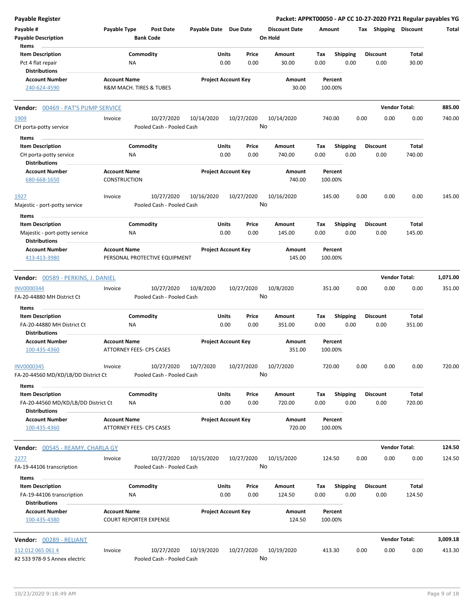| <b>Payable Register</b>                                                                |                                            |                        |                                         |                       |               |                            | Packet: APPKT00050 - AP CC 10-27-2020 FY21 Regular payables YG |             |                         |      |                         |                        |          |
|----------------------------------------------------------------------------------------|--------------------------------------------|------------------------|-----------------------------------------|-----------------------|---------------|----------------------------|----------------------------------------------------------------|-------------|-------------------------|------|-------------------------|------------------------|----------|
| Payable #<br><b>Payable Description</b>                                                | Payable Type                               |                        | <b>Post Date</b><br><b>Bank Code</b>    | Payable Date Due Date |               |                            | <b>Discount Date</b><br>On Hold                                | Amount      |                         |      | Tax Shipping Discount   |                        | Total    |
| Items<br><b>Item Description</b><br>Pct 4 flat repair<br><b>Distributions</b>          |                                            | Commodity<br><b>NA</b> |                                         |                       | Units<br>0.00 | Price<br>0.00              | Amount<br>30.00                                                | Tax<br>0.00 | <b>Shipping</b><br>0.00 |      | <b>Discount</b><br>0.00 | Total<br>30.00         |          |
| <b>Account Number</b>                                                                  | <b>Account Name</b>                        |                        |                                         |                       |               | <b>Project Account Key</b> | Amount                                                         |             | Percent                 |      |                         |                        |          |
| 240-624-4590                                                                           |                                            |                        | R&M MACH. TIRES & TUBES                 |                       |               |                            | 30.00                                                          |             | 100.00%                 |      |                         |                        |          |
| <b>Vendor: 00469 - PAT'S PUMP SERVICE</b>                                              |                                            |                        |                                         |                       |               |                            |                                                                |             |                         |      |                         | <b>Vendor Total:</b>   | 885.00   |
| 1909<br>CH porta-potty service                                                         | Invoice                                    |                        | 10/27/2020<br>Pooled Cash - Pooled Cash | 10/14/2020            |               | 10/27/2020<br>No           | 10/14/2020                                                     |             | 740.00                  | 0.00 | 0.00                    | 0.00                   | 740.00   |
| Items                                                                                  |                                            |                        |                                         |                       |               |                            |                                                                |             |                         |      |                         |                        |          |
| <b>Item Description</b><br>CH porta-potty service<br><b>Distributions</b>              |                                            | Commodity<br><b>NA</b> |                                         |                       | Units<br>0.00 | Price<br>0.00              | Amount<br>740.00                                               | Tax<br>0.00 | Shipping<br>0.00        |      | <b>Discount</b><br>0.00 | <b>Total</b><br>740.00 |          |
| <b>Account Number</b><br>680-668-1650                                                  | <b>Account Name</b><br><b>CONSTRUCTION</b> |                        |                                         |                       |               | <b>Project Account Key</b> | Amount<br>740.00                                               |             | Percent<br>100.00%      |      |                         |                        |          |
| 1927<br>Majestic - port-potty service                                                  | Invoice                                    |                        | 10/27/2020<br>Pooled Cash - Pooled Cash | 10/16/2020            |               | 10/27/2020<br>No           | 10/16/2020                                                     |             | 145.00                  | 0.00 | 0.00                    | 0.00                   | 145.00   |
| Items                                                                                  |                                            |                        |                                         |                       |               |                            |                                                                |             |                         |      |                         |                        |          |
| <b>Item Description</b><br>Majestic - port-potty service<br><b>Distributions</b>       |                                            | Commodity<br>ΝA        |                                         |                       | Units<br>0.00 | Price<br>0.00              | Amount<br>145.00                                               | Tax<br>0.00 | Shipping<br>0.00        |      | <b>Discount</b><br>0.00 | Total<br>145.00        |          |
| <b>Account Number</b><br>413-413-3980                                                  | <b>Account Name</b>                        |                        | PERSONAL PROTECTIVE EQUIPMENT           |                       |               | <b>Project Account Key</b> | Amount<br>145.00                                               |             | Percent<br>100.00%      |      |                         |                        |          |
| Vendor: 00589 - PERKINS, J. DANIEL                                                     |                                            |                        |                                         |                       |               |                            |                                                                |             |                         |      |                         | <b>Vendor Total:</b>   | 1,071.00 |
| INV0000344                                                                             | Invoice                                    |                        | 10/27/2020                              | 10/8/2020             |               | 10/27/2020                 | 10/8/2020                                                      |             | 351.00                  | 0.00 | 0.00                    | 0.00                   | 351.00   |
| FA-20-44880 MH District Ct                                                             |                                            |                        | Pooled Cash - Pooled Cash               |                       |               | No                         |                                                                |             |                         |      |                         |                        |          |
| Items                                                                                  |                                            |                        |                                         |                       |               |                            |                                                                |             |                         |      |                         |                        |          |
| <b>Item Description</b><br>FA-20-44880 MH District Ct<br><b>Distributions</b>          |                                            | Commodity<br><b>NA</b> |                                         |                       | Units<br>0.00 | Price<br>0.00              | Amount<br>351.00                                               | Tax<br>0.00 | <b>Shipping</b><br>0.00 |      | <b>Discount</b><br>0.00 | Total<br>351.00        |          |
| <b>Account Number</b><br>100-435-4360                                                  | <b>Account Name</b>                        |                        | <b>ATTORNEY FEES- CPS CASES</b>         |                       |               | <b>Project Account Key</b> | Amount<br>351.00                                               |             | Percent<br>100.00%      |      |                         |                        |          |
| <b>INV0000345</b><br>FA-20-44560 MD/KD/LB/DD District Ct                               | Invoice                                    |                        | 10/27/2020<br>Pooled Cash - Pooled Cash | 10/7/2020             |               | 10/27/2020<br>No           | 10/7/2020                                                      |             | 720.00                  | 0.00 | 0.00                    | 0.00                   | 720.00   |
| Items                                                                                  |                                            |                        |                                         |                       |               |                            |                                                                |             |                         |      |                         |                        |          |
| <b>Item Description</b><br>FA-20-44560 MD/KD/LB/DD District Ct<br><b>Distributions</b> |                                            | Commodity<br>NA        |                                         |                       | Units<br>0.00 | Price<br>0.00              | Amount<br>720.00                                               | Tax<br>0.00 | <b>Shipping</b><br>0.00 |      | <b>Discount</b><br>0.00 | Total<br>720.00        |          |
| <b>Account Number</b><br>100-435-4360                                                  | <b>Account Name</b>                        |                        | ATTORNEY FEES- CPS CASES                |                       |               | <b>Project Account Key</b> | Amount<br>720.00                                               |             | Percent<br>100.00%      |      |                         |                        |          |
| Vendor: 00545 - REAMY, CHARLA GY                                                       |                                            |                        |                                         |                       |               |                            |                                                                |             |                         |      |                         | <b>Vendor Total:</b>   | 124.50   |
| 2277<br>FA-19-44106 transcription                                                      | Invoice                                    |                        | 10/27/2020<br>Pooled Cash - Pooled Cash | 10/15/2020            |               | 10/27/2020<br>No           | 10/15/2020                                                     |             | 124.50                  | 0.00 | 0.00                    | 0.00                   | 124.50   |
| Items<br><b>Item Description</b>                                                       |                                            | Commodity              |                                         |                       | Units         | Price                      | Amount                                                         | Tax         | <b>Shipping</b>         |      | <b>Discount</b>         | Total                  |          |
| FA-19-44106 transcription<br><b>Distributions</b>                                      |                                            | ΝA                     |                                         |                       | 0.00          | 0.00                       | 124.50                                                         | 0.00        | 0.00                    |      | 0.00                    | 124.50                 |          |
| <b>Account Number</b><br>100-435-4380                                                  | <b>Account Name</b>                        |                        | <b>COURT REPORTER EXPENSE</b>           |                       |               | <b>Project Account Key</b> | Amount<br>124.50                                               |             | Percent<br>100.00%      |      |                         |                        |          |
| Vendor: 00289 - RELIANT                                                                |                                            |                        |                                         |                       |               |                            |                                                                |             |                         |      |                         | <b>Vendor Total:</b>   | 3,009.18 |
| 112 012 065 061 4<br>#2 533 978-9 S Annex electric                                     | Invoice                                    |                        | 10/27/2020<br>Pooled Cash - Pooled Cash | 10/19/2020            |               | 10/27/2020<br>No           | 10/19/2020                                                     |             | 413.30                  | 0.00 | 0.00                    | 0.00                   | 413.30   |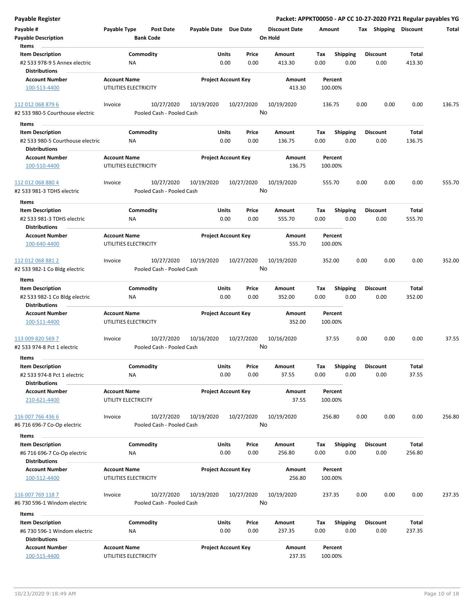| <b>Payable Register</b>                                  |                       |                                         |                            |               | Packet: APPKT00050 - AP CC 10-27-2020 FY21 Regular payables YG |                                 |             |                         |      |                         |                 |        |
|----------------------------------------------------------|-----------------------|-----------------------------------------|----------------------------|---------------|----------------------------------------------------------------|---------------------------------|-------------|-------------------------|------|-------------------------|-----------------|--------|
| Payable #<br><b>Payable Description</b>                  | Payable Type          | <b>Post Date</b><br><b>Bank Code</b>    | Payable Date Due Date      |               |                                                                | <b>Discount Date</b><br>On Hold | Amount      |                         |      | Tax Shipping Discount   |                 | Total  |
| Items<br><b>Item Description</b>                         |                       | Commodity                               |                            | Units         | Price                                                          | <b>Amount</b>                   | Tax         | Shipping                |      | <b>Discount</b>         | Total           |        |
| #2 533 978-9 S Annex electric                            | <b>NA</b>             |                                         |                            | 0.00          | 0.00                                                           | 413.30                          | 0.00        | 0.00                    |      | 0.00                    | 413.30          |        |
| <b>Distributions</b>                                     |                       |                                         |                            |               |                                                                |                                 |             |                         |      |                         |                 |        |
| <b>Account Number</b>                                    | <b>Account Name</b>   |                                         | <b>Project Account Key</b> |               |                                                                | Amount                          |             | Percent                 |      |                         |                 |        |
| 100-513-4400                                             | UTILITIES ELECTRICITY |                                         |                            |               |                                                                | 413.30                          |             | 100.00%                 |      |                         |                 |        |
| 112 012 068 879 6                                        | Invoice               | 10/27/2020                              | 10/19/2020                 | 10/27/2020    |                                                                | 10/19/2020                      | 136.75      |                         | 0.00 | 0.00                    | 0.00            | 136.75 |
| #2 533 980-5 Courthouse electric                         |                       | Pooled Cash - Pooled Cash               |                            |               | No                                                             |                                 |             |                         |      |                         |                 |        |
| Items                                                    |                       |                                         |                            |               |                                                                |                                 |             |                         |      |                         |                 |        |
| <b>Item Description</b>                                  |                       | Commodity                               |                            | Units         | Price                                                          | Amount                          | Tax         | <b>Shipping</b>         |      | <b>Discount</b>         | Total           |        |
| #2 533 980-5 Courthouse electric<br><b>Distributions</b> | ΝA                    |                                         |                            | 0.00          | 0.00                                                           | 136.75                          | 0.00        | 0.00                    |      | 0.00                    | 136.75          |        |
| <b>Account Number</b>                                    | <b>Account Name</b>   |                                         | <b>Project Account Key</b> |               |                                                                | Amount                          |             | Percent                 |      |                         |                 |        |
| 100-510-4400                                             | UTILITIES ELECTRICITY |                                         |                            |               |                                                                | 136.75                          |             | 100.00%                 |      |                         |                 |        |
| 112 012 068 880 4<br>#2 533 981-3 TDHS electric          | Invoice               | 10/27/2020<br>Pooled Cash - Pooled Cash | 10/19/2020                 | 10/27/2020    | No                                                             | 10/19/2020                      | 555.70      |                         | 0.00 | 0.00                    | 0.00            | 555.70 |
| Items                                                    |                       |                                         |                            |               |                                                                |                                 |             |                         |      |                         |                 |        |
| <b>Item Description</b><br>#2 533 981-3 TDHS electric    | <b>NA</b>             | Commodity                               |                            | Units<br>0.00 | Price<br>0.00                                                  | Amount<br>555.70                | Tax<br>0.00 | <b>Shipping</b><br>0.00 |      | <b>Discount</b><br>0.00 | Total<br>555.70 |        |
| <b>Distributions</b>                                     | <b>Account Name</b>   |                                         | <b>Project Account Key</b> |               |                                                                |                                 |             |                         |      |                         |                 |        |
| <b>Account Number</b><br>100-640-4400                    | UTILITIES ELECTRICITY |                                         |                            |               |                                                                | Amount<br>555.70                |             | Percent<br>100.00%      |      |                         |                 |        |
| 112 012 068 881 2                                        | Invoice               | 10/27/2020                              | 10/19/2020                 | 10/27/2020    |                                                                | 10/19/2020                      | 352.00      |                         | 0.00 | 0.00                    | 0.00            | 352.00 |
| #2 533 982-1 Co Bldg electric                            |                       | Pooled Cash - Pooled Cash               |                            |               | No                                                             |                                 |             |                         |      |                         |                 |        |
| Items                                                    |                       |                                         |                            |               |                                                                |                                 |             |                         |      |                         |                 |        |
| <b>Item Description</b>                                  |                       | Commodity                               |                            | Units         | Price                                                          | Amount                          | Tax         | <b>Shipping</b>         |      | <b>Discount</b>         | Total           |        |
| #2 533 982-1 Co Bldg electric<br><b>Distributions</b>    | <b>NA</b>             |                                         |                            | 0.00          | 0.00                                                           | 352.00                          | 0.00        | 0.00                    |      | 0.00                    | 352.00          |        |
| <b>Account Number</b>                                    | <b>Account Name</b>   |                                         | <b>Project Account Key</b> |               |                                                                | Amount                          |             | Percent                 |      |                         |                 |        |
| 100-511-4400                                             | UTILITIES ELECTRICITY |                                         |                            |               |                                                                | 352.00                          |             | 100.00%                 |      |                         |                 |        |
| 113 009 820 569 7                                        | Invoice               | 10/27/2020                              | 10/16/2020                 | 10/27/2020    |                                                                | 10/16/2020                      |             | 37.55                   | 0.00 | 0.00                    | 0.00            | 37.55  |
| #2 533 974-8 Pct 1 electric                              |                       | Pooled Cash - Pooled Cash               |                            |               | No                                                             |                                 |             |                         |      |                         |                 |        |
| Items                                                    |                       |                                         |                            |               |                                                                |                                 |             |                         |      |                         |                 |        |
| <b>Item Description</b>                                  |                       | Commodity                               |                            | Units         | Price                                                          | Amount                          | Tax         | Shipping                |      | <b>Discount</b>         | Total           |        |
| #2 533 974-8 Pct 1 electric<br><b>Distributions</b>      | <b>NA</b>             |                                         |                            | 0.00          | 0.00                                                           | 37.55                           | 0.00        | 0.00                    |      | 0.00                    | 37.55           |        |
| <b>Account Number</b>                                    | <b>Account Name</b>   |                                         | <b>Project Account Key</b> |               |                                                                | Amount                          |             | Percent                 |      |                         |                 |        |
| 210-621-4400                                             | UTILITY ELECTRICITY   |                                         |                            |               |                                                                | 37.55                           |             | 100.00%                 |      |                         |                 |        |
| 116 007 766 436 6<br>#6 716 696-7 Co-Op electric         | Invoice               | 10/27/2020<br>Pooled Cash - Pooled Cash | 10/19/2020                 | 10/27/2020    | No                                                             | 10/19/2020                      | 256.80      |                         | 0.00 | 0.00                    | 0.00            | 256.80 |
| Items                                                    |                       |                                         |                            |               |                                                                |                                 |             |                         |      |                         |                 |        |
| <b>Item Description</b>                                  |                       | Commodity                               |                            | Units         | Price                                                          | Amount                          | Tax         | Shipping                |      | <b>Discount</b>         | Total           |        |
| #6 716 696-7 Co-Op electric<br><b>Distributions</b>      | NA                    |                                         |                            | 0.00          | 0.00                                                           | 256.80                          | 0.00        | 0.00                    |      | 0.00                    | 256.80          |        |
| <b>Account Number</b>                                    | <b>Account Name</b>   |                                         | <b>Project Account Key</b> |               |                                                                | Amount                          |             | Percent                 |      |                         |                 |        |
| 100-512-4400                                             | UTILITIES ELECTRICITY |                                         |                            |               |                                                                | 256.80                          |             | 100.00%                 |      |                         |                 |        |
| 116 007 769 118 7<br>#6 730 596-1 Windom electric        | Invoice               | 10/27/2020<br>Pooled Cash - Pooled Cash | 10/19/2020                 | 10/27/2020    | No                                                             | 10/19/2020                      | 237.35      |                         | 0.00 | 0.00                    | 0.00            | 237.35 |
| Items                                                    |                       |                                         |                            |               |                                                                |                                 |             |                         |      |                         |                 |        |
| <b>Item Description</b>                                  |                       | Commodity                               |                            | Units         | Price                                                          | Amount                          | Tax         | <b>Shipping</b>         |      | <b>Discount</b>         | Total           |        |
| #6 730 596-1 Windom electric<br><b>Distributions</b>     | <b>NA</b>             |                                         |                            | 0.00          | 0.00                                                           | 237.35                          | 0.00        | 0.00                    |      | 0.00                    | 237.35          |        |
| <b>Account Number</b>                                    | <b>Account Name</b>   |                                         | <b>Project Account Key</b> |               |                                                                | Amount                          |             | Percent                 |      |                         |                 |        |
| 100-515-4400                                             | UTILITIES ELECTRICITY |                                         |                            |               |                                                                | 237.35                          |             | 100.00%                 |      |                         |                 |        |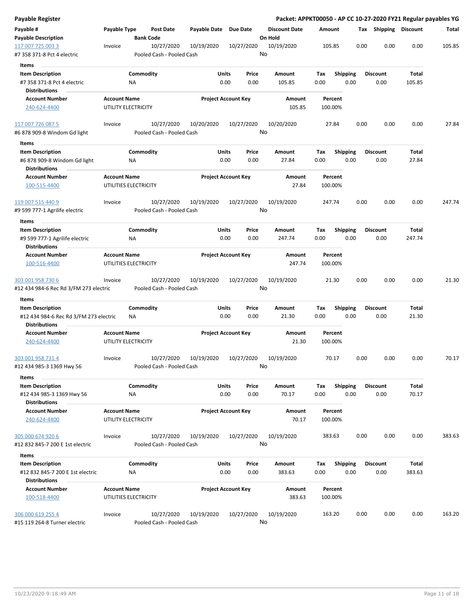| Payable Register                                     |                                            |           |                                         |                            |                 |               | Packet: APPKT00050 - AP CC 10-27-2020 FY21 Regular payables YG |             |                    |      |      |                         |        |        |
|------------------------------------------------------|--------------------------------------------|-----------|-----------------------------------------|----------------------------|-----------------|---------------|----------------------------------------------------------------|-------------|--------------------|------|------|-------------------------|--------|--------|
| Payable #                                            | Payable Type                               |           | <b>Post Date</b>                        | Payable Date               | <b>Due Date</b> |               | <b>Discount Date</b>                                           | Amount      |                    |      |      | Tax Shipping Discount   |        | Total  |
| <b>Payable Description</b>                           |                                            |           | <b>Bank Code</b>                        |                            |                 |               | On Hold                                                        |             |                    |      |      |                         |        |        |
| 117 007 725 003 3<br>#7 358 371-8 Pct 4 electric     | Invoice                                    |           | 10/27/2020<br>Pooled Cash - Pooled Cash | 10/19/2020                 |                 | 10/27/2020    | 10/19/2020<br>No                                               |             | 105.85             |      | 0.00 | 0.00                    | 0.00   | 105.85 |
| <b>Items</b>                                         |                                            |           |                                         |                            |                 |               |                                                                |             |                    |      |      |                         |        |        |
| <b>Item Description</b>                              |                                            | Commodity |                                         |                            | <b>Units</b>    | Price         | Amount                                                         | Tax         | <b>Shipping</b>    |      |      | <b>Discount</b>         | Total  |        |
| #7 358 371-8 Pct 4 electric                          |                                            | ΝA        |                                         |                            | 0.00            | 0.00          | 105.85                                                         | 0.00        |                    | 0.00 |      | 0.00                    | 105.85 |        |
| <b>Distributions</b>                                 |                                            |           |                                         |                            |                 |               |                                                                |             |                    |      |      |                         |        |        |
| <b>Account Number</b>                                | <b>Account Name</b>                        |           |                                         | <b>Project Account Key</b> |                 |               | Amount                                                         |             | Percent            |      |      |                         |        |        |
| 240-624-4400                                         | UTILITY ELECTRICITY                        |           |                                         |                            |                 |               | 105.85                                                         |             | 100.00%            |      |      |                         |        |        |
| 117 007 726 087 5                                    | Invoice                                    |           | 10/27/2020                              | 10/20/2020                 |                 | 10/27/2020    | 10/20/2020                                                     |             | 27.84              |      | 0.00 | 0.00                    | 0.00   | 27.84  |
| #6 878 909-8 Windom Gd light                         |                                            |           | Pooled Cash - Pooled Cash               |                            |                 |               | No                                                             |             |                    |      |      |                         |        |        |
| Items                                                |                                            |           |                                         |                            |                 |               |                                                                |             |                    |      |      |                         |        |        |
| <b>Item Description</b>                              |                                            | Commodity |                                         |                            | Units           | Price         | Amount                                                         | Tax         | <b>Shipping</b>    |      |      | <b>Discount</b>         | Total  |        |
| #6 878 909-8 Windom Gd light<br><b>Distributions</b> |                                            | NA        |                                         |                            | 0.00            | 0.00          | 27.84                                                          | 0.00        |                    | 0.00 |      | 0.00                    | 27.84  |        |
| <b>Account Number</b>                                | <b>Account Name</b>                        |           |                                         | <b>Project Account Key</b> |                 |               | Amount                                                         |             | Percent            |      |      |                         |        |        |
| 100-515-4400                                         | UTILITIES ELECTRICITY                      |           |                                         |                            |                 |               | 27.84                                                          |             | 100.00%            |      |      |                         |        |        |
| 119 007 515 440 9                                    | Invoice                                    |           | 10/27/2020                              | 10/19/2020                 |                 | 10/27/2020    | 10/19/2020                                                     |             | 247.74             |      | 0.00 | 0.00                    | 0.00   | 247.74 |
| #9 599 777-1 Agrilife electric                       |                                            |           | Pooled Cash - Pooled Cash               |                            |                 |               | No                                                             |             |                    |      |      |                         |        |        |
| Items                                                |                                            |           |                                         |                            |                 |               |                                                                |             |                    |      |      |                         |        |        |
| <b>Item Description</b>                              |                                            | Commodity |                                         |                            | Units           | Price         | Amount                                                         | Tax         | <b>Shipping</b>    |      |      | <b>Discount</b>         | Total  |        |
| #9 599 777-1 Agrilife electric                       |                                            | ΝA        |                                         |                            | 0.00            | 0.00          | 247.74                                                         | 0.00        |                    | 0.00 |      | 0.00                    | 247.74 |        |
| <b>Distributions</b>                                 |                                            |           |                                         |                            |                 |               |                                                                |             |                    |      |      |                         |        |        |
| <b>Account Number</b>                                | <b>Account Name</b>                        |           |                                         | <b>Project Account Key</b> |                 |               | Amount                                                         |             | Percent            |      |      |                         |        |        |
| 100-516-4400                                         | UTILITIES ELECTRICITY                      |           |                                         |                            |                 |               | 247.74                                                         |             | 100.00%            |      |      |                         |        |        |
| 303 001 958 730 6                                    | Invoice                                    |           | 10/27/2020                              | 10/19/2020                 |                 | 10/27/2020    | 10/19/2020                                                     |             | 21.30              |      | 0.00 | 0.00                    | 0.00   | 21.30  |
| #12 434 984-6 Rec Rd 3/FM 273 electric               |                                            |           | Pooled Cash - Pooled Cash               |                            |                 | No            |                                                                |             |                    |      |      |                         |        |        |
| Items                                                |                                            |           |                                         |                            |                 |               |                                                                |             |                    |      |      |                         |        |        |
| <b>Item Description</b>                              |                                            | Commodity |                                         |                            | Units           | Price         | Amount                                                         | Tax         | <b>Shipping</b>    |      |      | <b>Discount</b>         | Total  |        |
| #12 434 984-6 Rec Rd 3/FM 273 electric               |                                            | ΝA        |                                         |                            | 0.00            | 0.00          | 21.30                                                          | 0.00        |                    | 0.00 |      | 0.00                    | 21.30  |        |
| <b>Distributions</b>                                 |                                            |           |                                         |                            |                 |               |                                                                |             |                    |      |      |                         |        |        |
| <b>Account Number</b>                                | <b>Account Name</b>                        |           |                                         | <b>Project Account Key</b> |                 |               | Amount                                                         |             | Percent            |      |      |                         |        |        |
| 240-624-4400                                         | UTILITY ELECTRICITY                        |           |                                         |                            |                 |               | 21.30                                                          |             | 100.00%            |      |      |                         |        |        |
| 303 001 958 731 4                                    | Invoice                                    |           | 10/27/2020                              | 10/19/2020                 |                 | 10/27/2020    | 10/19/2020                                                     |             | 70.17              |      | 0.00 | 0.00                    | 0.00   | 70.17  |
| #12 434 985-3 1369 Hwy 56                            |                                            |           | Pooled Cash - Pooled Cash               |                            |                 |               | No                                                             |             |                    |      |      |                         |        |        |
| Items                                                |                                            |           |                                         |                            |                 |               |                                                                |             |                    |      |      |                         |        |        |
|                                                      |                                            |           |                                         |                            |                 |               |                                                                |             |                    |      |      |                         | Total  |        |
| <b>Item Description</b>                              |                                            | Commodity |                                         |                            | Units<br>0.00   | Price<br>0.00 | Amount<br>70.17                                                | Tax<br>0.00 | Shipping           | 0.00 |      | <b>Discount</b><br>0.00 | 70.17  |        |
| #12 434 985-3 1369 Hwy 56<br><b>Distributions</b>    |                                            | <b>NA</b> |                                         |                            |                 |               |                                                                |             |                    |      |      |                         |        |        |
|                                                      |                                            |           |                                         |                            |                 |               |                                                                |             |                    |      |      |                         |        |        |
| <b>Account Number</b><br>240-624-4400                | <b>Account Name</b><br>UTILITY ELECTRICITY |           |                                         | <b>Project Account Key</b> |                 |               | Amount<br>70.17                                                |             | Percent<br>100.00% |      |      |                         |        |        |
|                                                      |                                            |           |                                         |                            |                 |               |                                                                |             |                    |      |      |                         |        |        |
| 305 000 674 920 6                                    | Invoice                                    |           | 10/27/2020                              | 10/19/2020                 |                 | 10/27/2020    | 10/19/2020<br>No                                               |             | 383.63             |      | 0.00 | 0.00                    | 0.00   | 383.63 |
| #12 832 845-7 200 E 1st electric                     |                                            |           | Pooled Cash - Pooled Cash               |                            |                 |               |                                                                |             |                    |      |      |                         |        |        |
| Items                                                |                                            |           |                                         |                            |                 |               |                                                                |             |                    |      |      |                         |        |        |
| <b>Item Description</b>                              |                                            | Commodity |                                         |                            | Units           | Price         | Amount                                                         | Tax         | <b>Shipping</b>    |      |      | <b>Discount</b>         | Total  |        |
| #12 832 845-7 200 E 1st electric                     |                                            | ΝA        |                                         |                            | 0.00            | 0.00          | 383.63                                                         | 0.00        |                    | 0.00 |      | 0.00                    | 383.63 |        |
| <b>Distributions</b>                                 |                                            |           |                                         |                            |                 |               |                                                                |             |                    |      |      |                         |        |        |
| <b>Account Number</b>                                | <b>Account Name</b>                        |           |                                         | <b>Project Account Key</b> |                 |               | Amount                                                         |             | Percent            |      |      |                         |        |        |
| 100-518-4400                                         | UTILITIES ELECTRICITY                      |           |                                         |                            |                 |               | 383.63                                                         |             | 100.00%            |      |      |                         |        |        |
| 306 000 619 255 4                                    | Invoice                                    |           | 10/27/2020                              | 10/19/2020                 |                 | 10/27/2020    | 10/19/2020                                                     |             | 163.20             |      | 0.00 | 0.00                    | 0.00   | 163.20 |
| #15 119 264-8 Turner electric                        |                                            |           | Pooled Cash - Pooled Cash               |                            |                 |               | No                                                             |             |                    |      |      |                         |        |        |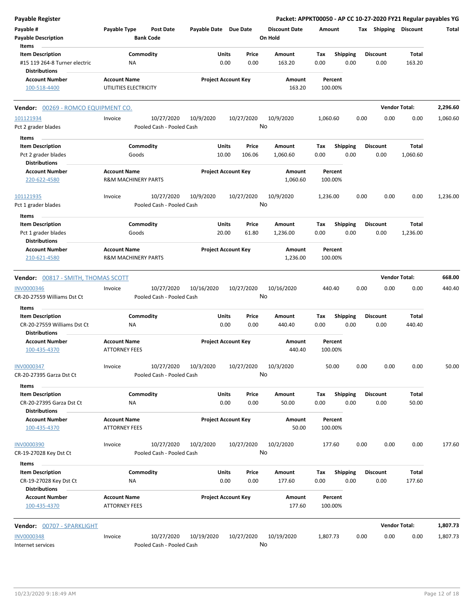| <b>Payable Register</b>                                                          |                                                       |                                         |                       | Packet: APPKT00050 - AP CC 10-27-2020 FY21 Regular payables YG |                                 |             |                         |      |                         |                      |          |
|----------------------------------------------------------------------------------|-------------------------------------------------------|-----------------------------------------|-----------------------|----------------------------------------------------------------|---------------------------------|-------------|-------------------------|------|-------------------------|----------------------|----------|
| Payable #<br><b>Payable Description</b>                                          | Payable Type                                          | Post Date<br><b>Bank Code</b>           | Payable Date Due Date |                                                                | <b>Discount Date</b><br>On Hold |             | Amount                  |      | Tax Shipping Discount   |                      | Total    |
| Items                                                                            |                                                       |                                         |                       |                                                                |                                 |             |                         |      |                         |                      |          |
| <b>Item Description</b><br>#15 119 264-8 Turner electric<br><b>Distributions</b> | Commodity<br><b>NA</b>                                |                                         | Units                 | Price<br>0.00<br>0.00                                          | Amount<br>163.20                | Tax<br>0.00 | Shipping<br>0.00        |      | <b>Discount</b><br>0.00 | Total<br>163.20      |          |
| <b>Account Number</b>                                                            | <b>Account Name</b>                                   |                                         |                       | <b>Project Account Key</b>                                     | Amount                          |             | Percent                 |      |                         |                      |          |
| 100-518-4400                                                                     | UTILITIES ELECTRICITY                                 |                                         |                       |                                                                | 163.20                          |             | 100.00%                 |      |                         |                      |          |
| Vendor: 00269 - ROMCO EQUIPMENT CO.                                              |                                                       |                                         |                       |                                                                |                                 |             |                         |      |                         | <b>Vendor Total:</b> | 2,296.60 |
| 101121934                                                                        | Invoice                                               | 10/27/2020                              | 10/9/2020             | 10/27/2020                                                     | 10/9/2020                       | 1,060.60    |                         | 0.00 | 0.00                    | 0.00                 | 1,060.60 |
| Pct 2 grader blades                                                              |                                                       | Pooled Cash - Pooled Cash               |                       |                                                                | No                              |             |                         |      |                         |                      |          |
| Items                                                                            |                                                       |                                         |                       |                                                                |                                 |             |                         |      |                         |                      |          |
| <b>Item Description</b>                                                          | Commodity                                             |                                         | Units                 | Price                                                          | Amount                          | Tax         | <b>Shipping</b>         |      | <b>Discount</b>         | <b>Total</b>         |          |
| Pct 2 grader blades<br><b>Distributions</b>                                      | Goods                                                 |                                         | 10.00                 | 106.06                                                         | 1,060.60                        | 0.00        | 0.00                    |      | 0.00                    | 1,060.60             |          |
| <b>Account Number</b><br>220-622-4580                                            | <b>Account Name</b><br><b>R&amp;M MACHINERY PARTS</b> |                                         |                       | <b>Project Account Key</b>                                     | Amount<br>1,060.60              |             | Percent<br>100.00%      |      |                         |                      |          |
| 101121935<br>Pct 1 grader blades                                                 | Invoice                                               | 10/27/2020<br>Pooled Cash - Pooled Cash | 10/9/2020             | 10/27/2020                                                     | 10/9/2020<br>No                 | 1,236.00    |                         | 0.00 | 0.00                    | 0.00                 | 1,236.00 |
|                                                                                  |                                                       |                                         |                       |                                                                |                                 |             |                         |      |                         |                      |          |
| Items<br><b>Item Description</b>                                                 | Commodity                                             |                                         | Units                 | Price                                                          | Amount                          | Tax         | <b>Shipping</b>         |      | <b>Discount</b>         | Total                |          |
| Pct 1 grader blades<br><b>Distributions</b>                                      | Goods                                                 |                                         | 20.00                 | 61.80                                                          | 1,236.00                        | 0.00        | 0.00                    |      | 0.00                    | 1,236.00             |          |
| <b>Account Number</b>                                                            | <b>Account Name</b>                                   |                                         |                       | <b>Project Account Key</b>                                     | Amount                          |             | Percent                 |      |                         |                      |          |
| 210-621-4580                                                                     | <b>R&amp;M MACHINERY PARTS</b>                        |                                         |                       |                                                                | 1,236.00                        |             | 100.00%                 |      |                         |                      |          |
| Vendor: 00817 - SMITH, THOMAS SCOTT                                              |                                                       |                                         |                       |                                                                |                                 |             |                         |      |                         | <b>Vendor Total:</b> | 668.00   |
| <b>INV0000346</b>                                                                | Invoice                                               | 10/27/2020                              | 10/16/2020            | 10/27/2020                                                     | 10/16/2020                      |             | 440.40                  | 0.00 | 0.00                    | 0.00                 | 440.40   |
| CR-20-27559 Williams Dst Ct                                                      |                                                       | Pooled Cash - Pooled Cash               |                       |                                                                | No                              |             |                         |      |                         |                      |          |
| Items                                                                            |                                                       |                                         |                       |                                                                |                                 |             |                         |      |                         |                      |          |
| <b>Item Description</b>                                                          | Commodity                                             |                                         | Units                 | Price                                                          | Amount                          | Tax         | <b>Shipping</b>         |      | <b>Discount</b>         | Total                |          |
| CR-20-27559 Williams Dst Ct                                                      | NA                                                    |                                         |                       | 0.00<br>0.00                                                   | 440.40                          | 0.00        | 0.00                    |      | 0.00                    | 440.40               |          |
| <b>Distributions</b>                                                             |                                                       |                                         |                       |                                                                |                                 |             |                         |      |                         |                      |          |
| <b>Account Number</b><br>100-435-4370                                            | <b>Account Name</b><br><b>ATTORNEY FEES</b>           |                                         |                       | <b>Project Account Key</b>                                     | Amount<br>440.40                |             | Percent<br>100.00%      |      |                         |                      |          |
| <b>INV0000347</b>                                                                | Invoice                                               | 10/27/2020                              | 10/3/2020             | 10/27/2020                                                     | 10/3/2020                       |             | 50.00                   | 0.00 | 0.00                    | 0.00                 | 50.00    |
| CR-20-27395 Garza Dst Ct                                                         |                                                       | Pooled Cash - Pooled Cash               |                       |                                                                | No                              |             |                         |      |                         |                      |          |
| Items                                                                            |                                                       |                                         |                       |                                                                |                                 |             |                         |      |                         |                      |          |
| <b>Item Description</b>                                                          | Commodity                                             |                                         | Units                 | Price                                                          | Amount                          | Tax         | <b>Shipping</b>         |      | <b>Discount</b>         | Total                |          |
| CR-20-27395 Garza Dst Ct                                                         | ΝA                                                    |                                         |                       | 0.00<br>0.00                                                   | 50.00                           | 0.00        | 0.00                    |      | 0.00                    | 50.00                |          |
| <b>Distributions</b>                                                             |                                                       |                                         |                       |                                                                |                                 |             |                         |      |                         |                      |          |
| <b>Account Number</b><br>100-435-4370                                            | <b>Account Name</b><br><b>ATTORNEY FEES</b>           |                                         |                       | <b>Project Account Key</b>                                     | Amount<br>50.00                 |             | Percent<br>100.00%      |      |                         |                      |          |
| <b>INV0000390</b>                                                                | Invoice                                               | 10/27/2020                              | 10/2/2020             | 10/27/2020                                                     | 10/2/2020                       |             | 177.60                  | 0.00 | 0.00                    | 0.00                 | 177.60   |
| CR-19-27028 Key Dst Ct                                                           |                                                       | Pooled Cash - Pooled Cash               |                       |                                                                | No                              |             |                         |      |                         |                      |          |
| Items                                                                            |                                                       |                                         |                       |                                                                |                                 |             |                         |      |                         |                      |          |
| <b>Item Description</b><br>CR-19-27028 Key Dst Ct                                | Commodity<br>ΝA                                       |                                         | Units                 | Price<br>0.00<br>0.00                                          | Amount<br>177.60                | Tax<br>0.00 | <b>Shipping</b><br>0.00 |      | <b>Discount</b><br>0.00 | Total<br>177.60      |          |
| <b>Distributions</b>                                                             |                                                       |                                         |                       |                                                                |                                 |             |                         |      |                         |                      |          |
| <b>Account Number</b><br>100-435-4370                                            | <b>Account Name</b><br><b>ATTORNEY FEES</b>           |                                         |                       | <b>Project Account Key</b>                                     | Amount<br>177.60                |             | Percent<br>100.00%      |      |                         |                      |          |
| Vendor: 00707 - SPARKLIGHT                                                       |                                                       |                                         |                       |                                                                |                                 |             |                         |      |                         | <b>Vendor Total:</b> | 1,807.73 |
| <b>INV0000348</b>                                                                | Invoice                                               | 10/27/2020                              | 10/19/2020            | 10/27/2020                                                     | 10/19/2020                      | 1,807.73    |                         | 0.00 | 0.00                    | 0.00                 | 1,807.73 |
| Internet services                                                                |                                                       | Pooled Cash - Pooled Cash               |                       |                                                                | No                              |             |                         |      |                         |                      |          |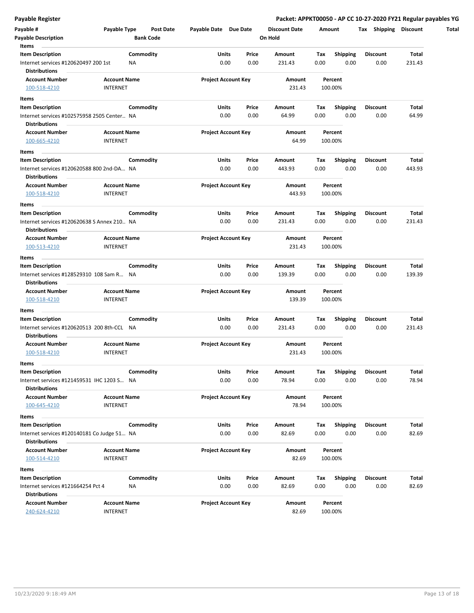| Payable Register                                                     |                     |                  |                            |       |                      |      |                 | Packet: APPKT00050 - AP CC 10-27-2020 FY21 Regular payables YG |        |
|----------------------------------------------------------------------|---------------------|------------------|----------------------------|-------|----------------------|------|-----------------|----------------------------------------------------------------|--------|
| Payable #                                                            | Payable Type        | <b>Post Date</b> | Payable Date Due Date      |       | <b>Discount Date</b> |      | Amount          | Tax Shipping Discount                                          |        |
| <b>Payable Description</b>                                           |                     | <b>Bank Code</b> |                            |       | On Hold              |      |                 |                                                                |        |
| Items                                                                |                     |                  |                            |       |                      |      |                 |                                                                |        |
| <b>Item Description</b>                                              |                     | Commodity        | Units                      | Price | Amount               | Tax  | <b>Shipping</b> | <b>Discount</b>                                                | Total  |
| Internet services #120620497 200 1st<br><b>Distributions</b>         | ΝA                  |                  | 0.00                       | 0.00  | 231.43               | 0.00 | 0.00            | 0.00                                                           | 231.43 |
| <b>Account Number</b>                                                | <b>Account Name</b> |                  | <b>Project Account Key</b> |       | Amount               |      | Percent         |                                                                |        |
| 100-518-4210                                                         | <b>INTERNET</b>     |                  |                            |       | 231.43               |      | 100.00%         |                                                                |        |
| Items                                                                |                     |                  |                            |       |                      |      |                 |                                                                |        |
| <b>Item Description</b>                                              |                     | Commodity        | Units                      | Price | Amount               | Тах  | <b>Shipping</b> | <b>Discount</b>                                                | Total  |
| Internet services #102575958 2505 Center. NA<br><b>Distributions</b> |                     |                  | 0.00                       | 0.00  | 64.99                | 0.00 | 0.00            | 0.00                                                           | 64.99  |
| <b>Account Number</b>                                                | <b>Account Name</b> |                  | <b>Project Account Key</b> |       | Amount               |      | Percent         |                                                                |        |
| 100-665-4210                                                         | <b>INTERNET</b>     |                  |                            |       | 64.99                |      | 100.00%         |                                                                |        |
|                                                                      |                     |                  |                            |       |                      |      |                 |                                                                |        |
| Items                                                                |                     |                  |                            |       |                      |      |                 |                                                                |        |
| <b>Item Description</b>                                              |                     | Commodity        | Units                      | Price | Amount               | Tax  | <b>Shipping</b> | Discount                                                       | Total  |
| Internet services #120620588 800 2nd-DA NA<br><b>Distributions</b>   |                     |                  | 0.00                       | 0.00  | 443.93               | 0.00 | 0.00            | 0.00                                                           | 443.93 |
| <b>Account Number</b>                                                | <b>Account Name</b> |                  | <b>Project Account Key</b> |       | Amount               |      | Percent         |                                                                |        |
| 100-518-4210                                                         | <b>INTERNET</b>     |                  |                            |       | 443.93               |      | 100.00%         |                                                                |        |
| Items                                                                |                     |                  |                            |       |                      |      |                 |                                                                |        |
| <b>Item Description</b>                                              |                     | Commodity        | Units                      | Price | Amount               | Tax  | <b>Shipping</b> | <b>Discount</b>                                                | Total  |
| Internet services #120620638 S Annex 210 NA                          |                     |                  | 0.00                       | 0.00  | 231.43               | 0.00 | 0.00            | 0.00                                                           | 231.43 |
| <b>Distributions</b>                                                 |                     |                  |                            |       |                      |      |                 |                                                                |        |
| <b>Account Number</b>                                                | <b>Account Name</b> |                  | <b>Project Account Key</b> |       | Amount               |      | Percent         |                                                                |        |
| 100-513-4210                                                         | <b>INTERNET</b>     |                  |                            |       | 231.43               |      | 100.00%         |                                                                |        |
|                                                                      |                     |                  |                            |       |                      |      |                 |                                                                |        |
| Items                                                                |                     |                  |                            |       |                      |      |                 |                                                                |        |
| <b>Item Description</b>                                              |                     | Commodity        | Units                      | Price | Amount               | Tax  | <b>Shipping</b> | Discount                                                       | Total  |
| Internet services #128529310 108 Sam R NA<br><b>Distributions</b>    |                     |                  | 0.00                       | 0.00  | 139.39               | 0.00 | 0.00            | 0.00                                                           | 139.39 |
| <b>Account Number</b>                                                | <b>Account Name</b> |                  | <b>Project Account Key</b> |       | Amount               |      | Percent         |                                                                |        |
| 100-518-4210                                                         | <b>INTERNET</b>     |                  |                            |       | 139.39               |      | 100.00%         |                                                                |        |
| Items                                                                |                     |                  |                            |       |                      |      |                 |                                                                |        |
| <b>Item Description</b>                                              |                     | Commodity        | Units                      | Price | Amount               | Тах  | <b>Shipping</b> | <b>Discount</b>                                                | Total  |
| Internet services #120620513 200 8th-CCL NA                          |                     |                  | 0.00                       | 0.00  | 231.43               | 0.00 | 0.00            | 0.00                                                           | 231.43 |
| <b>Distributions</b>                                                 |                     |                  |                            |       |                      |      |                 |                                                                |        |
| <b>Account Number</b>                                                | <b>Account Name</b> |                  | <b>Project Account Key</b> |       | Amount               |      | Percent         |                                                                |        |
| 100-518-4210                                                         |                     |                  |                            |       |                      |      |                 |                                                                |        |
|                                                                      | <b>INTERNET</b>     |                  |                            |       | 231.43               |      | 100.00%         |                                                                |        |
| Items                                                                |                     |                  |                            |       |                      |      |                 |                                                                |        |
| <b>Item Description</b>                                              |                     | Commodity        | Units                      | Price | Amount               | Тах  | <b>Shipping</b> | <b>Discount</b>                                                | Total  |
| Internet services #121459531 IHC 1203 S NA                           |                     |                  | 0.00                       | 0.00  | 78.94                | 0.00 | 0.00            | 0.00                                                           | 78.94  |
| <b>Distributions</b>                                                 |                     |                  |                            |       |                      |      |                 |                                                                |        |
| <b>Account Number</b>                                                | <b>Account Name</b> |                  | <b>Project Account Key</b> |       | Amount               |      | Percent         |                                                                |        |
| 100-645-4210                                                         | <b>INTERNET</b>     |                  |                            |       | 78.94                |      | 100.00%         |                                                                |        |
| Items                                                                |                     |                  |                            |       |                      |      |                 |                                                                |        |
| <b>Item Description</b>                                              |                     | Commodity        | Units                      | Price | Amount               | Tax  | <b>Shipping</b> | Discount                                                       | Total  |
| Internet services #120140181 Co Judge 51 NA                          |                     |                  | 0.00                       | 0.00  | 82.69                | 0.00 | 0.00            | 0.00                                                           | 82.69  |
| <b>Distributions</b>                                                 |                     |                  |                            |       |                      |      |                 |                                                                |        |
| <b>Account Number</b>                                                | <b>Account Name</b> |                  | <b>Project Account Key</b> |       | Amount               |      | Percent         |                                                                |        |
| 100-514-4210                                                         | <b>INTERNET</b>     |                  |                            |       | 82.69                |      | 100.00%         |                                                                |        |
|                                                                      |                     |                  |                            |       |                      |      |                 |                                                                |        |
| Items                                                                |                     |                  |                            |       |                      |      |                 |                                                                |        |
| <b>Item Description</b>                                              |                     | Commodity        | Units                      | Price | Amount               | Tax  | Shipping        | Discount                                                       | Total  |
| Internet services #121664254 Pct 4                                   | ΝA                  |                  | 0.00                       | 0.00  | 82.69                | 0.00 | 0.00            | 0.00                                                           | 82.69  |
| <b>Distributions</b>                                                 |                     |                  |                            |       |                      |      |                 |                                                                |        |
| <b>Account Number</b>                                                | <b>Account Name</b> |                  | <b>Project Account Key</b> |       | Amount               |      | Percent         |                                                                |        |
| 240-624-4210                                                         | <b>INTERNET</b>     |                  |                            |       | 82.69                |      | 100.00%         |                                                                |        |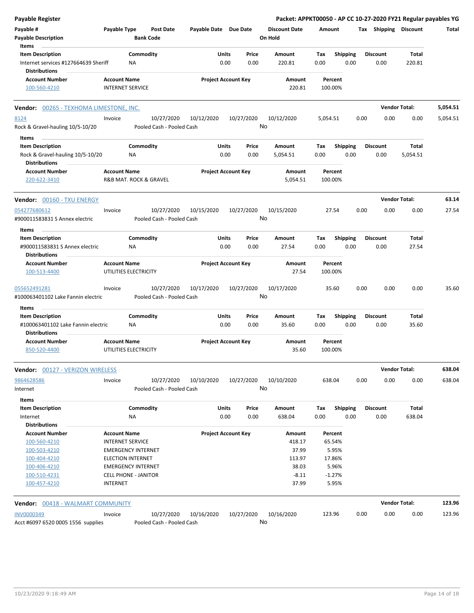| <b>Payable Register</b>                                  |                                                       |           |                                      |                            |       |            | Packet: APPKT00050 - AP CC 10-27-2020 FY21 Regular payables YG |          |                 |      |                       |                      |          |
|----------------------------------------------------------|-------------------------------------------------------|-----------|--------------------------------------|----------------------------|-------|------------|----------------------------------------------------------------|----------|-----------------|------|-----------------------|----------------------|----------|
| Payable #<br><b>Payable Description</b>                  | Payable Type                                          |           | <b>Post Date</b><br><b>Bank Code</b> | Payable Date Due Date      |       |            | <b>Discount Date</b><br>On Hold                                | Amount   |                 |      | Tax Shipping Discount |                      | Total    |
| Items<br><b>Item Description</b>                         |                                                       | Commodity |                                      |                            | Units | Price      | Amount                                                         | Tax      | <b>Shipping</b> |      | <b>Discount</b>       | Total                |          |
| Internet services #127664639 Sheriff<br>Distributions    |                                                       | ΝA        |                                      |                            | 0.00  | 0.00       | 220.81                                                         | 0.00     | 0.00            |      | 0.00                  | 220.81               |          |
| <b>Account Number</b>                                    | <b>Account Name</b>                                   |           |                                      | <b>Project Account Key</b> |       |            | Amount                                                         | Percent  |                 |      |                       |                      |          |
| 100-560-4210                                             | <b>INTERNET SERVICE</b>                               |           |                                      |                            |       |            | 220.81                                                         | 100.00%  |                 |      |                       |                      |          |
| Vendor: 00265 - TEXHOMA LIMESTONE, INC.                  |                                                       |           |                                      |                            |       |            |                                                                |          |                 |      |                       | <b>Vendor Total:</b> | 5,054.51 |
| 8124                                                     | Invoice                                               |           | 10/27/2020                           | 10/12/2020                 |       | 10/27/2020 | 10/12/2020                                                     | 5,054.51 |                 | 0.00 | 0.00                  | 0.00                 | 5,054.51 |
| Rock & Gravel-hauling 10/5-10/20                         |                                                       |           | Pooled Cash - Pooled Cash            |                            |       |            | No                                                             |          |                 |      |                       |                      |          |
| Items                                                    |                                                       |           |                                      |                            |       |            |                                                                |          |                 |      |                       |                      |          |
| <b>Item Description</b>                                  |                                                       | Commodity |                                      |                            | Units | Price      | Amount                                                         | Tax      | Shipping        |      | <b>Discount</b>       | Total                |          |
| Rock & Gravel-hauling 10/5-10/20<br><b>Distributions</b> |                                                       | ΝA        |                                      |                            | 0.00  | 0.00       | 5,054.51                                                       | 0.00     | 0.00            |      | 0.00                  | 5,054.51             |          |
| <b>Account Number</b>                                    | <b>Account Name</b>                                   |           |                                      | <b>Project Account Key</b> |       |            | Amount                                                         | Percent  |                 |      |                       |                      |          |
| 220-622-3410                                             | R&B MAT. ROCK & GRAVEL                                |           |                                      |                            |       |            | 5,054.51                                                       | 100.00%  |                 |      |                       |                      |          |
| Vendor: 00160 - TXU ENERGY                               |                                                       |           |                                      |                            |       |            |                                                                |          |                 |      |                       | <b>Vendor Total:</b> | 63.14    |
| 054277680612                                             | Invoice                                               |           | 10/27/2020                           | 10/15/2020                 |       | 10/27/2020 | 10/15/2020                                                     | 27.54    |                 | 0.00 | 0.00                  | 0.00                 | 27.54    |
| #900011583831 S Annex electric                           |                                                       |           | Pooled Cash - Pooled Cash            |                            |       |            | No                                                             |          |                 |      |                       |                      |          |
| Items                                                    |                                                       |           |                                      |                            |       |            |                                                                |          |                 |      |                       |                      |          |
| <b>Item Description</b>                                  |                                                       | Commodity |                                      |                            | Units | Price      | Amount                                                         | Tax      | <b>Shipping</b> |      | <b>Discount</b>       | <b>Total</b>         |          |
| #900011583831 S Annex electric<br>Distributions          |                                                       | <b>NA</b> |                                      |                            | 0.00  | 0.00       | 27.54                                                          | 0.00     | 0.00            |      | 0.00                  | 27.54                |          |
| <b>Account Number</b>                                    | <b>Account Name</b>                                   |           |                                      | <b>Project Account Key</b> |       |            | Amount                                                         | Percent  |                 |      |                       |                      |          |
| 100-513-4400                                             | UTILITIES ELECTRICITY                                 |           |                                      |                            |       |            | 27.54                                                          | 100.00%  |                 |      |                       |                      |          |
| 055652491281                                             | Invoice                                               |           | 10/27/2020                           | 10/17/2020                 |       | 10/27/2020 | 10/17/2020                                                     | 35.60    |                 | 0.00 | 0.00                  | 0.00                 | 35.60    |
| #100063401102 Lake Fannin electric                       |                                                       |           | Pooled Cash - Pooled Cash            |                            |       |            | No                                                             |          |                 |      |                       |                      |          |
| Items                                                    |                                                       |           |                                      |                            |       |            |                                                                |          |                 |      |                       |                      |          |
| <b>Item Description</b>                                  |                                                       | Commodity |                                      |                            | Units | Price      | <b>Amount</b>                                                  | Tax      | <b>Shipping</b> |      | <b>Discount</b>       | Total                |          |
| #100063401102 Lake Fannin electric                       |                                                       | NA        |                                      |                            | 0.00  | 0.00       | 35.60                                                          | 0.00     | 0.00            |      | 0.00                  | 35.60                |          |
| <b>Distributions</b>                                     |                                                       |           |                                      |                            |       |            |                                                                |          |                 |      |                       |                      |          |
| <b>Account Number</b>                                    | <b>Account Name</b>                                   |           |                                      | <b>Project Account Key</b> |       |            | Amount                                                         | Percent  |                 |      |                       |                      |          |
| 850-520-4400                                             | UTILITIES ELECTRICITY                                 |           |                                      |                            |       |            | 35.60                                                          | 100.00%  |                 |      |                       |                      |          |
| <b>Vendor: 00127 - VERIZON WIRELESS</b>                  |                                                       |           |                                      |                            |       |            |                                                                |          |                 |      |                       | <b>Vendor Total:</b> | 638.04   |
| 9864628586                                               | Invoice                                               |           | 10/27/2020                           | 10/10/2020                 |       | 10/27/2020 | 10/10/2020                                                     | 638.04   |                 | 0.00 | 0.00                  | 0.00                 | 638.04   |
| Internet                                                 |                                                       |           | Pooled Cash - Pooled Cash            |                            |       |            | No                                                             |          |                 |      |                       |                      |          |
| <b>Items</b>                                             |                                                       |           |                                      |                            |       |            |                                                                |          |                 |      |                       |                      |          |
| <b>Item Description</b>                                  |                                                       | Commodity |                                      |                            | Units | Price      | Amount                                                         | Tax      | Shipping        |      | <b>Discount</b>       | Total                |          |
| Internet                                                 |                                                       | NA        |                                      |                            | 0.00  | 0.00       | 638.04                                                         | 0.00     | 0.00            |      | 0.00                  | 638.04               |          |
| <b>Distributions</b>                                     |                                                       |           |                                      |                            |       |            |                                                                |          |                 |      |                       |                      |          |
| <b>Account Number</b>                                    | <b>Account Name</b>                                   |           |                                      | <b>Project Account Key</b> |       |            | Amount                                                         | Percent  |                 |      |                       |                      |          |
| 100-560-4210                                             | <b>INTERNET SERVICE</b>                               |           |                                      |                            |       |            | 418.17                                                         | 65.54%   |                 |      |                       |                      |          |
| 100-503-4210                                             | <b>EMERGENCY INTERNET</b>                             |           |                                      |                            |       |            | 37.99                                                          |          | 5.95%           |      |                       |                      |          |
| 100-404-4210<br>100-406-4210                             | <b>ELECTION INTERNET</b><br><b>EMERGENCY INTERNET</b> |           |                                      |                            |       |            | 113.97<br>38.03                                                | 17.86%   | 5.96%           |      |                       |                      |          |
| 100-510-4231                                             | <b>CELL PHONE - JANITOR</b>                           |           |                                      |                            |       |            | $-8.11$                                                        | $-1.27%$ |                 |      |                       |                      |          |
| 100-457-4210                                             | <b>INTERNET</b>                                       |           |                                      |                            |       |            | 37.99                                                          |          | 5.95%           |      |                       |                      |          |
| <b>Vendor: 00418 - WALMART COMMUNITY</b>                 |                                                       |           |                                      |                            |       |            |                                                                |          |                 |      |                       | <b>Vendor Total:</b> | 123.96   |
| <b>INV0000349</b>                                        | Invoice                                               |           | 10/27/2020                           | 10/16/2020                 |       |            | 10/16/2020                                                     |          |                 | 0.00 | 0.00                  |                      | 123.96   |
| Acct #6097 6520 0005 1556 supplies                       |                                                       |           | Pooled Cash - Pooled Cash            |                            |       | 10/27/2020 | No                                                             | 123.96   |                 |      |                       | 0.00                 |          |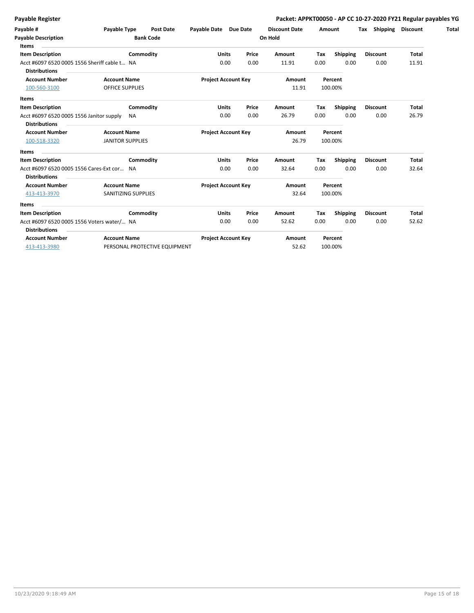|  | Payable Register |  |
|--|------------------|--|
|  |                  |  |

| Payable #<br><b>Payable Description</b><br>Items                     | Payable Type<br><b>Post Date</b><br><b>Bank Code</b>                                                                                                                                                                                       | Payable Date Due Date      |       | <b>Discount Date</b><br>On Hold | Amount |                 | Shipping<br>Tax | <b>Discount</b> |
|----------------------------------------------------------------------|--------------------------------------------------------------------------------------------------------------------------------------------------------------------------------------------------------------------------------------------|----------------------------|-------|---------------------------------|--------|-----------------|-----------------|-----------------|
| <b>Item Description</b>                                              | Commodity                                                                                                                                                                                                                                  | <b>Units</b>               | Price | Amount                          | Tax    | <b>Shipping</b> | <b>Discount</b> | <b>Total</b>    |
| Acct #6097 6520 0005 1556 Sheriff cable t NA<br><b>Distributions</b> |                                                                                                                                                                                                                                            | 0.00                       | 0.00  | 11.91                           | 0.00   | 0.00            | 0.00            | 11.91           |
| <b>Account Number</b>                                                | <b>Account Name</b>                                                                                                                                                                                                                        | <b>Project Account Key</b> |       | Amount                          |        | Percent         |                 |                 |
| 100-560-3100                                                         | <b>OFFICE SUPPLIES</b>                                                                                                                                                                                                                     |                            |       | 11.91                           |        | 100.00%         |                 |                 |
| Items<br><b>Item Description</b>                                     | the control of the control of the control of the control of the control of the control of the control of the control of the control of the control of the control of the control of the control of the control of the control<br>Commodity | <b>Units</b>               | Price | Amount                          | Тах    | Shipping        | <b>Discount</b> | <b>Total</b>    |
| Acct #6097 6520 0005 1556 Janitor supply<br><b>Distributions</b>     | NA.                                                                                                                                                                                                                                        | 0.00                       | 0.00  | 26.79                           | 0.00   | 0.00            | 0.00            | 26.79           |
| <b>Account Number</b>                                                | <b>Account Name</b>                                                                                                                                                                                                                        | <b>Project Account Key</b> |       | Amount                          |        | Percent         |                 |                 |
| 100-518-3320                                                         | <b>JANITOR SUPPLIES</b>                                                                                                                                                                                                                    |                            |       | 26.79                           |        | 100.00%         |                 |                 |
| Items                                                                |                                                                                                                                                                                                                                            |                            |       |                                 |        |                 |                 |                 |
| <b>Item Description</b>                                              | Commodity                                                                                                                                                                                                                                  | <b>Units</b>               | Price | Amount                          | Tax    | Shipping        | <b>Discount</b> | <b>Total</b>    |
| Acct #6097 6520 0005 1556 Cares-Ext cor NA<br><b>Distributions</b>   |                                                                                                                                                                                                                                            | 0.00                       | 0.00  | 32.64                           | 0.00   | 0.00            | 0.00            | 32.64           |
| <b>Account Number</b>                                                | <b>Account Name</b>                                                                                                                                                                                                                        | <b>Project Account Key</b> |       | Amount                          |        | Percent         |                 |                 |
| 413-413-3970                                                         | SANITIZING SUPPLIES                                                                                                                                                                                                                        |                            |       | 32.64                           |        | 100.00%         |                 |                 |
| Items                                                                |                                                                                                                                                                                                                                            |                            |       |                                 |        |                 |                 |                 |
| <b>Item Description</b>                                              | Commodity                                                                                                                                                                                                                                  | <b>Units</b>               | Price | Amount                          | Tax    | Shipping        | <b>Discount</b> | Total           |
| Acct #6097 6520 0005 1556 Voters water/ NA<br><b>Distributions</b>   |                                                                                                                                                                                                                                            | 0.00                       | 0.00  | 52.62                           | 0.00   | 0.00            | 0.00            | 52.62           |
| <b>Account Number</b>                                                | <b>Account Name</b>                                                                                                                                                                                                                        | <b>Project Account Key</b> |       | Amount                          |        | Percent         |                 |                 |
| 413-413-3980                                                         | PERSONAL PROTECTIVE EQUIPMENT                                                                                                                                                                                                              |                            |       | 52.62                           |        | 100.00%         |                 |                 |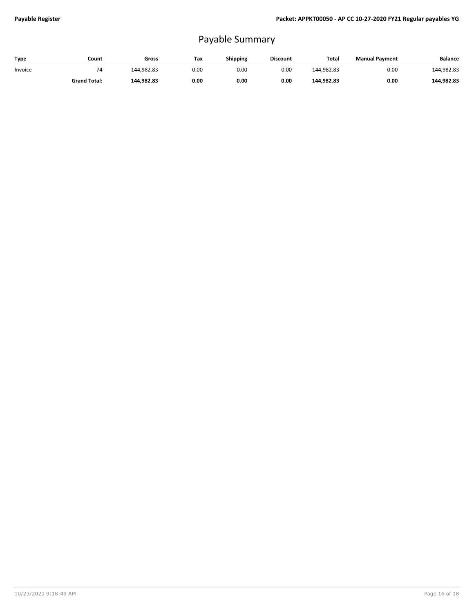## Payable Summary

| Type    | Count               | Gross      | Tax  | Shipping | <b>Discount</b> | Total      | <b>Manual Payment</b> | <b>Balance</b> |
|---------|---------------------|------------|------|----------|-----------------|------------|-----------------------|----------------|
| Invoice |                     | 144.982.83 | 0.00 | 0.00     | 0.00            | 144.982.83 | 0.00                  | 144,982.83     |
|         | <b>Grand Total:</b> | 144.982.83 | 0.00 | 0.00     | 0.00            | 144.982.83 | 0.00                  | 144.982.83     |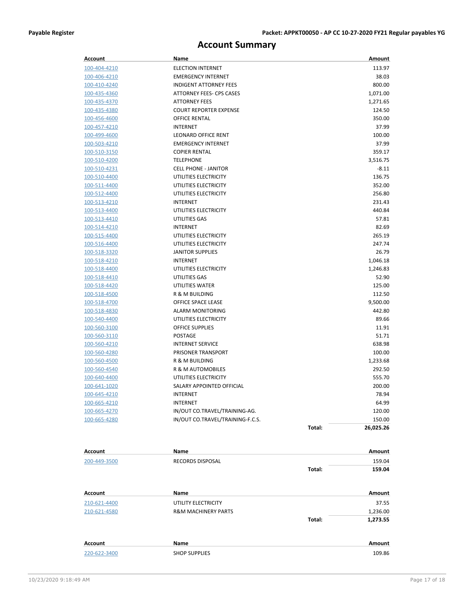## **Account Summary**

| <b>Account</b>               | Name                                         |        | Amount             |
|------------------------------|----------------------------------------------|--------|--------------------|
| 100-404-4210                 | <b>ELECTION INTERNET</b>                     |        | 113.97             |
| 100-406-4210                 | <b>EMERGENCY INTERNET</b>                    |        | 38.03              |
| 100-410-4240                 | <b>INDIGENT ATTORNEY FEES</b>                |        | 800.00             |
| 100-435-4360                 | ATTORNEY FEES- CPS CASES                     |        | 1,071.00           |
| 100-435-4370                 | <b>ATTORNEY FEES</b>                         |        | 1,271.65           |
| 100-435-4380                 | <b>COURT REPORTER EXPENSE</b>                |        | 124.50             |
| 100-456-4600                 | <b>OFFICE RENTAL</b>                         |        | 350.00             |
| 100-457-4210                 | <b>INTERNET</b>                              |        | 37.99              |
| 100-499-4600                 | LEONARD OFFICE RENT                          |        | 100.00             |
| 100-503-4210                 | <b>EMERGENCY INTERNET</b>                    |        | 37.99              |
| 100-510-3150                 | <b>COPIER RENTAL</b>                         |        | 359.17             |
| 100-510-4200                 | <b>TELEPHONE</b>                             |        | 3,516.75           |
| 100-510-4231                 | <b>CELL PHONE - JANITOR</b>                  |        | $-8.11$            |
| 100-510-4400                 | UTILITIES ELECTRICITY                        |        | 136.75             |
| 100-511-4400                 | UTILITIES ELECTRICITY                        |        | 352.00             |
| 100-512-4400                 | UTILITIES ELECTRICITY                        |        | 256.80             |
| 100-513-4210                 | <b>INTERNET</b>                              |        | 231.43             |
| 100-513-4400                 | UTILITIES ELECTRICITY                        |        | 440.84             |
|                              | UTILITIES GAS                                |        | 57.81              |
| 100-513-4410<br>100-514-4210 | <b>INTERNET</b>                              |        | 82.69              |
|                              | UTILITIES ELECTRICITY                        |        | 265.19             |
| 100-515-4400                 | UTILITIES ELECTRICITY                        |        | 247.74             |
| 100-516-4400                 |                                              |        |                    |
| 100-518-3320                 | <b>JANITOR SUPPLIES</b>                      |        | 26.79              |
| 100-518-4210                 | INTERNET                                     |        | 1,046.18           |
| 100-518-4400                 | UTILITIES ELECTRICITY<br>UTILITIES GAS       |        | 1,246.83           |
| 100-518-4410                 |                                              |        | 52.90              |
| 100-518-4420                 | UTILITIES WATER<br>R & M BUILDING            |        | 125.00             |
| 100-518-4500                 | OFFICE SPACE LEASE                           |        | 112.50<br>9,500.00 |
| 100-518-4700<br>100-518-4830 | <b>ALARM MONITORING</b>                      |        | 442.80             |
| 100-540-4400                 | UTILITIES ELECTRICITY                        |        | 89.66              |
| 100-560-3100                 | <b>OFFICE SUPPLIES</b>                       |        | 11.91              |
| 100-560-3110                 | <b>POSTAGE</b>                               |        | 51.71              |
| 100-560-4210                 | <b>INTERNET SERVICE</b>                      |        | 638.98             |
| 100-560-4280                 | PRISONER TRANSPORT                           |        | 100.00             |
|                              | R & M BUILDING                               |        | 1,233.68           |
| 100-560-4500                 | R & M AUTOMOBILES                            |        | 292.50             |
| 100-560-4540                 | UTILITIES ELECTRICITY                        |        | 555.70             |
| 100-640-4400                 |                                              |        |                    |
| 100-641-1020                 | SALARY APPOINTED OFFICIAL<br><b>INTERNET</b> |        | 200.00<br>78.94    |
| 100-645-4210                 | <b>INTERNET</b>                              |        |                    |
| 100-665-4210                 |                                              |        | 64.99              |
| 100-665-4270                 | IN/OUT CO.TRAVEL/TRAINING-AG.                |        | 120.00             |
| 100-665-4280                 | IN/OUT CO.TRAVEL/TRAINING-F.C.S.             |        | 150.00             |
|                              |                                              | Total: | 26,025.26          |
| Account                      | Name                                         |        | Amount             |
| 200-449-3500                 | RECORDS DISPOSAL                             |        | 159.04             |
|                              |                                              | Total: | 159.04             |
|                              |                                              |        |                    |
| <b>Account</b>               | Name                                         |        | Amount             |
| 210-621-4400                 | UTILITY ELECTRICITY                          |        | 37.55              |
| 210-621-4580                 | <b>R&amp;M MACHINERY PARTS</b>               |        | 1,236.00           |
|                              |                                              | Total: | 1,273.55           |
| Account                      | Name                                         |        | Amount             |
| 220-622-3400                 | <b>SHOP SUPPLIES</b>                         |        | 109.86             |